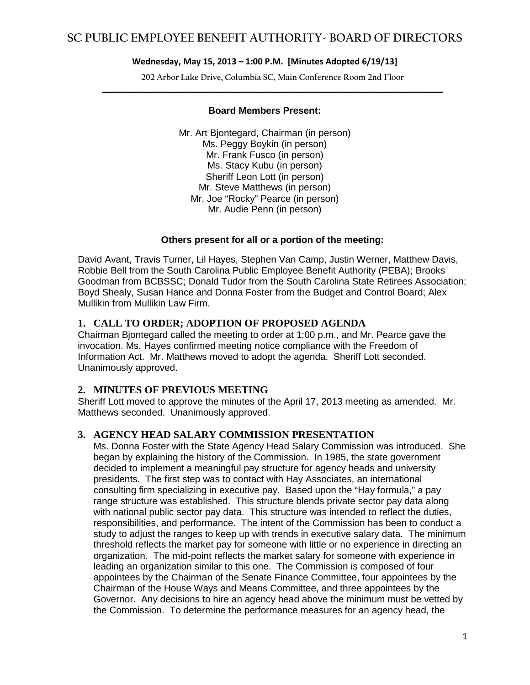**202 Arbor Lake Drive, Columbia SC, Main Conference Room 2nd Floor \_\_\_\_\_\_\_\_\_\_\_\_\_\_\_\_\_\_\_\_\_\_\_\_\_\_\_\_\_\_\_\_\_\_\_\_\_\_\_\_\_\_\_\_\_\_\_\_\_\_\_\_\_\_\_\_\_\_\_\_\_\_\_\_\_\_\_\_\_\_\_\_**

### **Board Members Present:**

Mr. Art Bjontegard, Chairman (in person) Ms. Peggy Boykin (in person) Mr. Frank Fusco (in person) Ms. Stacy Kubu (in person) Sheriff Leon Lott (in person) Mr. Steve Matthews (in person) Mr. Joe "Rocky" Pearce (in person) Mr. Audie Penn (in person)

### **Others present for all or a portion of the meeting:**

David Avant, Travis Turner, Lil Hayes, Stephen Van Camp, Justin Werner, Matthew Davis, Robbie Bell from the South Carolina Public Employee Benefit Authority (PEBA); Brooks Goodman from BCBSSC; Donald Tudor from the South Carolina State Retirees Association; Boyd Shealy, Susan Hance and Donna Foster from the Budget and Control Board; Alex Mullikin from Mullikin Law Firm.

### **1. CALL TO ORDER; ADOPTION OF PROPOSED AGENDA**

Chairman Bjontegard called the meeting to order at 1:00 p.m., and Mr. Pearce gave the invocation. Ms. Hayes confirmed meeting notice compliance with the Freedom of Information Act. Mr. Matthews moved to adopt the agenda. Sheriff Lott seconded. Unanimously approved.

### **2. MINUTES OF PREVIOUS MEETING**

Sheriff Lott moved to approve the minutes of the April 17, 2013 meeting as amended. Mr. Matthews seconded. Unanimously approved.

### **3. AGENCY HEAD SALARY COMMISSION PRESENTATION**

Ms. Donna Foster with the State Agency Head Salary Commission was introduced. She began by explaining the history of the Commission. In 1985, the state government decided to implement a meaningful pay structure for agency heads and university presidents. The first step was to contact with Hay Associates, an international consulting firm specializing in executive pay. Based upon the "Hay formula," a pay range structure was established. This structure blends private sector pay data along with national public sector pay data. This structure was intended to reflect the duties, responsibilities, and performance. The intent of the Commission has been to conduct a study to adjust the ranges to keep up with trends in executive salary data. The minimum threshold reflects the market pay for someone with little or no experience in directing an organization. The mid-point reflects the market salary for someone with experience in leading an organization similar to this one. The Commission is composed of four appointees by the Chairman of the Senate Finance Committee, four appointees by the Chairman of the House Ways and Means Committee, and three appointees by the Governor. Any decisions to hire an agency head above the minimum must be vetted by the Commission. To determine the performance measures for an agency head, the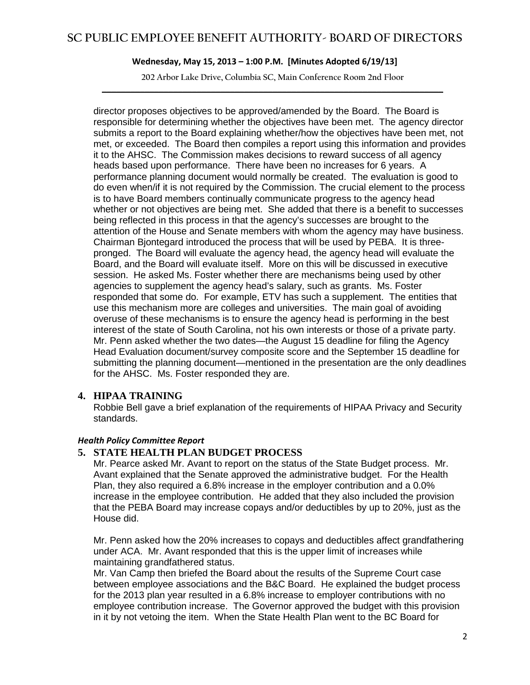**202 Arbor Lake Drive, Columbia SC, Main Conference Room 2nd Floor \_\_\_\_\_\_\_\_\_\_\_\_\_\_\_\_\_\_\_\_\_\_\_\_\_\_\_\_\_\_\_\_\_\_\_\_\_\_\_\_\_\_\_\_\_\_\_\_\_\_\_\_\_\_\_\_\_\_\_\_\_\_\_\_\_\_\_\_\_\_\_\_**

director proposes objectives to be approved/amended by the Board. The Board is responsible for determining whether the objectives have been met. The agency director submits a report to the Board explaining whether/how the objectives have been met, not met, or exceeded. The Board then compiles a report using this information and provides it to the AHSC. The Commission makes decisions to reward success of all agency heads based upon performance. There have been no increases for 6 years. A performance planning document would normally be created. The evaluation is good to do even when/if it is not required by the Commission. The crucial element to the process is to have Board members continually communicate progress to the agency head whether or not objectives are being met. She added that there is a benefit to successes being reflected in this process in that the agency's successes are brought to the attention of the House and Senate members with whom the agency may have business. Chairman Bjontegard introduced the process that will be used by PEBA. It is threepronged. The Board will evaluate the agency head, the agency head will evaluate the Board, and the Board will evaluate itself. More on this will be discussed in executive session. He asked Ms. Foster whether there are mechanisms being used by other agencies to supplement the agency head's salary, such as grants. Ms. Foster responded that some do. For example, ETV has such a supplement. The entities that use this mechanism more are colleges and universities. The main goal of avoiding overuse of these mechanisms is to ensure the agency head is performing in the best interest of the state of South Carolina, not his own interests or those of a private party. Mr. Penn asked whether the two dates—the August 15 deadline for filing the Agency Head Evaluation document/survey composite score and the September 15 deadline for submitting the planning document—mentioned in the presentation are the only deadlines for the AHSC. Ms. Foster responded they are.

### **4. HIPAA TRAINING**

Robbie Bell gave a brief explanation of the requirements of HIPAA Privacy and Security standards.

### *Health Policy Committee Report*

### **5. STATE HEALTH PLAN BUDGET PROCESS**

Mr. Pearce asked Mr. Avant to report on the status of the State Budget process. Mr. Avant explained that the Senate approved the administrative budget. For the Health Plan, they also required a 6.8% increase in the employer contribution and a 0.0% increase in the employee contribution. He added that they also included the provision that the PEBA Board may increase copays and/or deductibles by up to 20%, just as the House did.

Mr. Penn asked how the 20% increases to copays and deductibles affect grandfathering under ACA. Mr. Avant responded that this is the upper limit of increases while maintaining grandfathered status.

Mr. Van Camp then briefed the Board about the results of the Supreme Court case between employee associations and the B&C Board. He explained the budget process for the 2013 plan year resulted in a 6.8% increase to employer contributions with no employee contribution increase. The Governor approved the budget with this provision in it by not vetoing the item. When the State Health Plan went to the BC Board for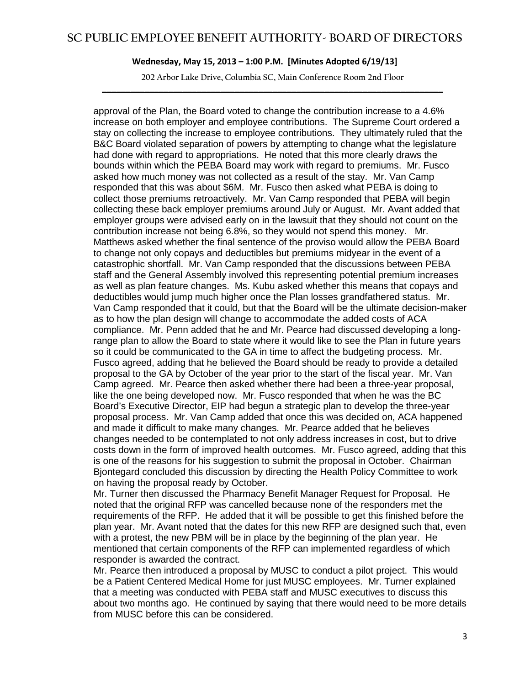**202 Arbor Lake Drive, Columbia SC, Main Conference Room 2nd Floor \_\_\_\_\_\_\_\_\_\_\_\_\_\_\_\_\_\_\_\_\_\_\_\_\_\_\_\_\_\_\_\_\_\_\_\_\_\_\_\_\_\_\_\_\_\_\_\_\_\_\_\_\_\_\_\_\_\_\_\_\_\_\_\_\_\_\_\_\_\_\_\_**

approval of the Plan, the Board voted to change the contribution increase to a 4.6% increase on both employer and employee contributions. The Supreme Court ordered a stay on collecting the increase to employee contributions. They ultimately ruled that the B&C Board violated separation of powers by attempting to change what the legislature had done with regard to appropriations. He noted that this more clearly draws the bounds within which the PEBA Board may work with regard to premiums. Mr. Fusco asked how much money was not collected as a result of the stay. Mr. Van Camp responded that this was about \$6M. Mr. Fusco then asked what PEBA is doing to collect those premiums retroactively. Mr. Van Camp responded that PEBA will begin collecting these back employer premiums around July or August. Mr. Avant added that employer groups were advised early on in the lawsuit that they should not count on the contribution increase not being 6.8%, so they would not spend this money. Mr. Matthews asked whether the final sentence of the proviso would allow the PEBA Board to change not only copays and deductibles but premiums midyear in the event of a catastrophic shortfall. Mr. Van Camp responded that the discussions between PEBA staff and the General Assembly involved this representing potential premium increases as well as plan feature changes. Ms. Kubu asked whether this means that copays and deductibles would jump much higher once the Plan losses grandfathered status. Mr. Van Camp responded that it could, but that the Board will be the ultimate decision-maker as to how the plan design will change to accommodate the added costs of ACA compliance. Mr. Penn added that he and Mr. Pearce had discussed developing a longrange plan to allow the Board to state where it would like to see the Plan in future years so it could be communicated to the GA in time to affect the budgeting process. Mr. Fusco agreed, adding that he believed the Board should be ready to provide a detailed proposal to the GA by October of the year prior to the start of the fiscal year. Mr. Van Camp agreed. Mr. Pearce then asked whether there had been a three-year proposal, like the one being developed now. Mr. Fusco responded that when he was the BC Board's Executive Director, EIP had begun a strategic plan to develop the three-year proposal process. Mr. Van Camp added that once this was decided on, ACA happened and made it difficult to make many changes. Mr. Pearce added that he believes changes needed to be contemplated to not only address increases in cost, but to drive costs down in the form of improved health outcomes. Mr. Fusco agreed, adding that this is one of the reasons for his suggestion to submit the proposal in October. Chairman Bjontegard concluded this discussion by directing the Health Policy Committee to work on having the proposal ready by October.

Mr. Turner then discussed the Pharmacy Benefit Manager Request for Proposal. He noted that the original RFP was cancelled because none of the responders met the requirements of the RFP. He added that it will be possible to get this finished before the plan year. Mr. Avant noted that the dates for this new RFP are designed such that, even with a protest, the new PBM will be in place by the beginning of the plan year. He mentioned that certain components of the RFP can implemented regardless of which responder is awarded the contract.

Mr. Pearce then introduced a proposal by MUSC to conduct a pilot project. This would be a Patient Centered Medical Home for just MUSC employees. Mr. Turner explained that a meeting was conducted with PEBA staff and MUSC executives to discuss this about two months ago. He continued by saying that there would need to be more details from MUSC before this can be considered.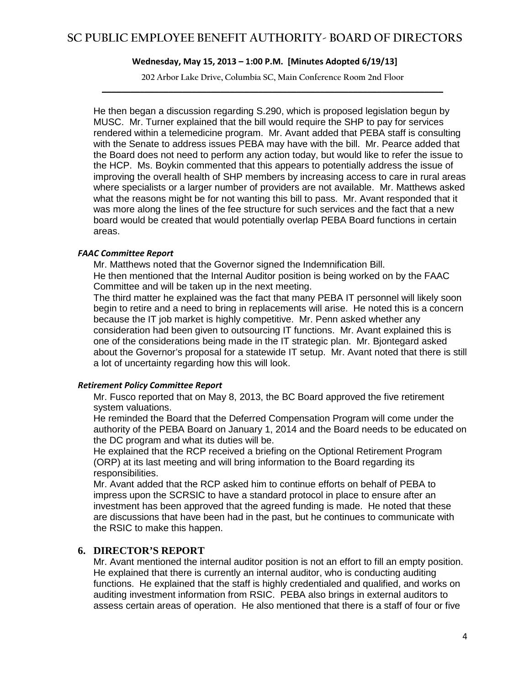**202 Arbor Lake Drive, Columbia SC, Main Conference Room 2nd Floor \_\_\_\_\_\_\_\_\_\_\_\_\_\_\_\_\_\_\_\_\_\_\_\_\_\_\_\_\_\_\_\_\_\_\_\_\_\_\_\_\_\_\_\_\_\_\_\_\_\_\_\_\_\_\_\_\_\_\_\_\_\_\_\_\_\_\_\_\_\_\_\_**

He then began a discussion regarding S.290, which is proposed legislation begun by MUSC. Mr. Turner explained that the bill would require the SHP to pay for services rendered within a telemedicine program. Mr. Avant added that PEBA staff is consulting with the Senate to address issues PEBA may have with the bill. Mr. Pearce added that the Board does not need to perform any action today, but would like to refer the issue to the HCP. Ms. Boykin commented that this appears to potentially address the issue of improving the overall health of SHP members by increasing access to care in rural areas where specialists or a larger number of providers are not available. Mr. Matthews asked what the reasons might be for not wanting this bill to pass. Mr. Avant responded that it was more along the lines of the fee structure for such services and the fact that a new board would be created that would potentially overlap PEBA Board functions in certain areas.

### *FAAC Committee Report*

Mr. Matthews noted that the Governor signed the Indemnification Bill.

He then mentioned that the Internal Auditor position is being worked on by the FAAC Committee and will be taken up in the next meeting.

The third matter he explained was the fact that many PEBA IT personnel will likely soon begin to retire and a need to bring in replacements will arise. He noted this is a concern because the IT job market is highly competitive. Mr. Penn asked whether any consideration had been given to outsourcing IT functions. Mr. Avant explained this is one of the considerations being made in the IT strategic plan. Mr. Bjontegard asked about the Governor's proposal for a statewide IT setup. Mr. Avant noted that there is still a lot of uncertainty regarding how this will look.

### *Retirement Policy Committee Report*

Mr. Fusco reported that on May 8, 2013, the BC Board approved the five retirement system valuations.

He reminded the Board that the Deferred Compensation Program will come under the authority of the PEBA Board on January 1, 2014 and the Board needs to be educated on the DC program and what its duties will be.

He explained that the RCP received a briefing on the Optional Retirement Program (ORP) at its last meeting and will bring information to the Board regarding its responsibilities.

Mr. Avant added that the RCP asked him to continue efforts on behalf of PEBA to impress upon the SCRSIC to have a standard protocol in place to ensure after an investment has been approved that the agreed funding is made. He noted that these are discussions that have been had in the past, but he continues to communicate with the RSIC to make this happen.

### **6. DIRECTOR'S REPORT**

Mr. Avant mentioned the internal auditor position is not an effort to fill an empty position. He explained that there is currently an internal auditor, who is conducting auditing functions. He explained that the staff is highly credentialed and qualified, and works on auditing investment information from RSIC. PEBA also brings in external auditors to assess certain areas of operation. He also mentioned that there is a staff of four or five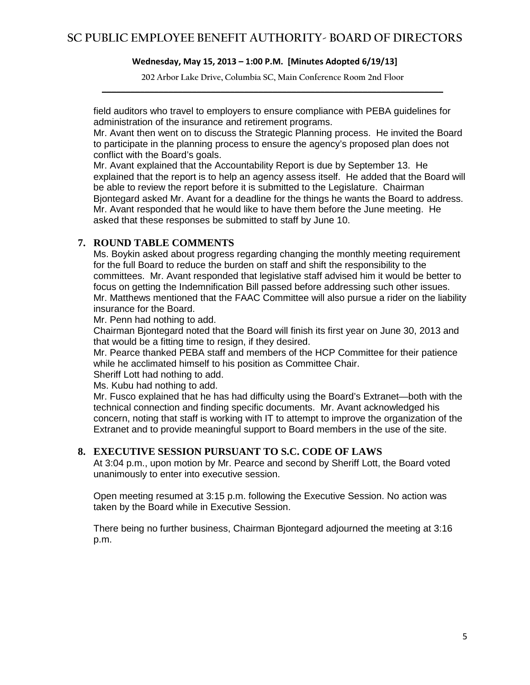**202 Arbor Lake Drive, Columbia SC, Main Conference Room 2nd Floor \_\_\_\_\_\_\_\_\_\_\_\_\_\_\_\_\_\_\_\_\_\_\_\_\_\_\_\_\_\_\_\_\_\_\_\_\_\_\_\_\_\_\_\_\_\_\_\_\_\_\_\_\_\_\_\_\_\_\_\_\_\_\_\_\_\_\_\_\_\_\_\_**

field auditors who travel to employers to ensure compliance with PEBA guidelines for administration of the insurance and retirement programs.

Mr. Avant then went on to discuss the Strategic Planning process. He invited the Board to participate in the planning process to ensure the agency's proposed plan does not conflict with the Board's goals.

Mr. Avant explained that the Accountability Report is due by September 13. He explained that the report is to help an agency assess itself. He added that the Board will be able to review the report before it is submitted to the Legislature. Chairman Bjontegard asked Mr. Avant for a deadline for the things he wants the Board to address. Mr. Avant responded that he would like to have them before the June meeting. He asked that these responses be submitted to staff by June 10.

### **7. ROUND TABLE COMMENTS**

Ms. Boykin asked about progress regarding changing the monthly meeting requirement for the full Board to reduce the burden on staff and shift the responsibility to the committees. Mr. Avant responded that legislative staff advised him it would be better to focus on getting the Indemnification Bill passed before addressing such other issues. Mr. Matthews mentioned that the FAAC Committee will also pursue a rider on the liability insurance for the Board.

Mr. Penn had nothing to add.

Chairman Bjontegard noted that the Board will finish its first year on June 30, 2013 and that would be a fitting time to resign, if they desired.

Mr. Pearce thanked PEBA staff and members of the HCP Committee for their patience while he acclimated himself to his position as Committee Chair.

Sheriff Lott had nothing to add.

Ms. Kubu had nothing to add.

Mr. Fusco explained that he has had difficulty using the Board's Extranet—both with the technical connection and finding specific documents. Mr. Avant acknowledged his concern, noting that staff is working with IT to attempt to improve the organization of the Extranet and to provide meaningful support to Board members in the use of the site.

### **8. EXECUTIVE SESSION PURSUANT TO S.C. CODE OF LAWS**

At 3:04 p.m., upon motion by Mr. Pearce and second by Sheriff Lott, the Board voted unanimously to enter into executive session.

Open meeting resumed at 3:15 p.m. following the Executive Session. No action was taken by the Board while in Executive Session.

There being no further business, Chairman Bjontegard adjourned the meeting at 3:16 p.m.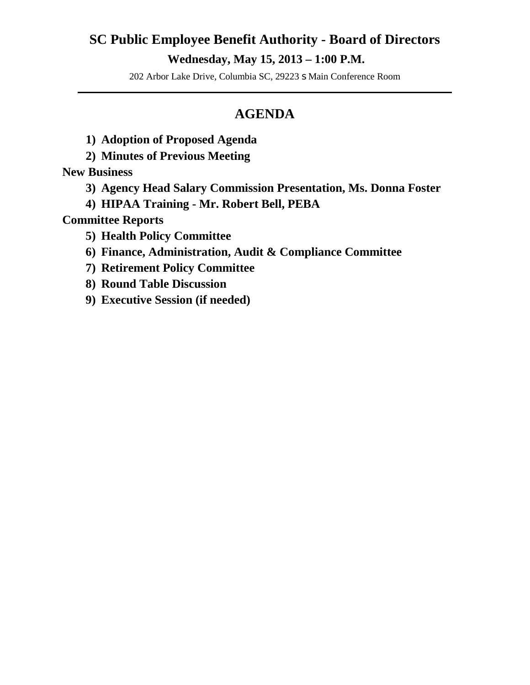### **SC Public Employee Benefit Authority - Board of Directors Wednesday, May 15, 2013 – 1:00 P.M.**

202 Arbor Lake Drive, Columbia SC, 29223 s Main Conference Room **\_\_\_\_\_\_\_\_\_\_\_\_\_\_\_\_\_\_\_\_\_\_\_\_\_\_\_\_\_\_\_\_\_\_\_\_\_\_\_\_\_\_\_\_\_\_\_\_\_\_\_\_\_\_\_\_\_\_\_\_\_\_\_\_\_\_\_\_\_\_\_\_**

### **AGENDA**

- **1) Adoption of Proposed Agenda**
- **2) Minutes of Previous Meeting**

**New Business** 

- **3) Agency Head Salary Commission Presentation, Ms. Donna Foster**
- **4) HIPAA Training - Mr. Robert Bell, PEBA**

**Committee Reports**

- **5) Health Policy Committee**
- **6) Finance, Administration, Audit & Compliance Committee**
- **7) Retirement Policy Committee**
- **8) Round Table Discussion**
- **9) Executive Session (if needed)**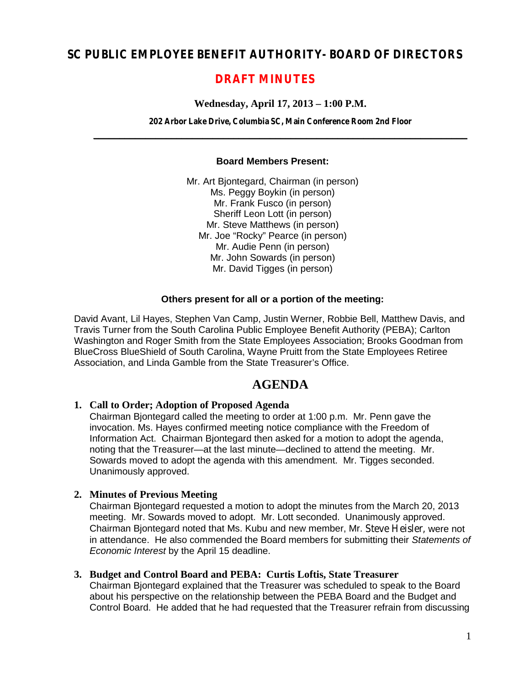### **SC PUBLIC EMPLOYEE BENEFIT AUTHORITY- BOARD OF DIRECTORS**

### **DRAFT MINUTES**

### **Wednesday, April 17, 2013 – 1:00 P.M.**

**202 Arbor Lake Drive, Columbia SC, Main Conference Room 2nd Floor**  $\mathcal{L} = \{ \mathcal{L} \mid \mathcal{L} \in \mathcal{L} \}$ 

### **Board Members Present:**

Mr. Art Bjontegard, Chairman (in person) Ms. Peggy Boykin (in person) Mr. Frank Fusco (in person) Sheriff Leon Lott (in person) Mr. Steve Matthews (in person) Mr. Joe "Rocky" Pearce (in person) Mr. Audie Penn (in person) Mr. John Sowards (in person) Mr. David Tigges (in person)

### **Others present for all or a portion of the meeting:**

David Avant, Lil Hayes, Stephen Van Camp, Justin Werner, Robbie Bell, Matthew Davis, and Travis Turner from the South Carolina Public Employee Benefit Authority (PEBA); Carlton Washington and Roger Smith from the State Employees Association; Brooks Goodman from BlueCross BlueShield of South Carolina, Wayne Pruitt from the State Employees Retiree Association, and Linda Gamble from the State Treasurer's Office.

### **AGENDA**

### **1. Call to Order; Adoption of Proposed Agenda**

Chairman Bjontegard called the meeting to order at 1:00 p.m. Mr. Penn gave the invocation. Ms. Hayes confirmed meeting notice compliance with the Freedom of Information Act. Chairman Bjontegard then asked for a motion to adopt the agenda, noting that the Treasurer—at the last minute—declined to attend the meeting. Mr. Sowards moved to adopt the agenda with this amendment. Mr. Tigges seconded. Unanimously approved.

### **2. Minutes of Previous Meeting**

Chairman Bjontegard requested a motion to adopt the minutes from the March 20, 2013 meeting. Mr. Sowards moved to adopt. Mr. Lott seconded. Unanimously approved. Chairman Bjontegard noted that Ms. Kubu and new member, Mr. Steve Heisler, were not in attendance. He also commended the Board members for submitting their *Statements of Economic Interest* by the April 15 deadline.

### **3. Budget and Control Board and PEBA: Curtis Loftis, State Treasurer**

Chairman Bjontegard explained that the Treasurer was scheduled to speak to the Board about his perspective on the relationship between the PEBA Board and the Budget and Control Board. He added that he had requested that the Treasurer refrain from discussing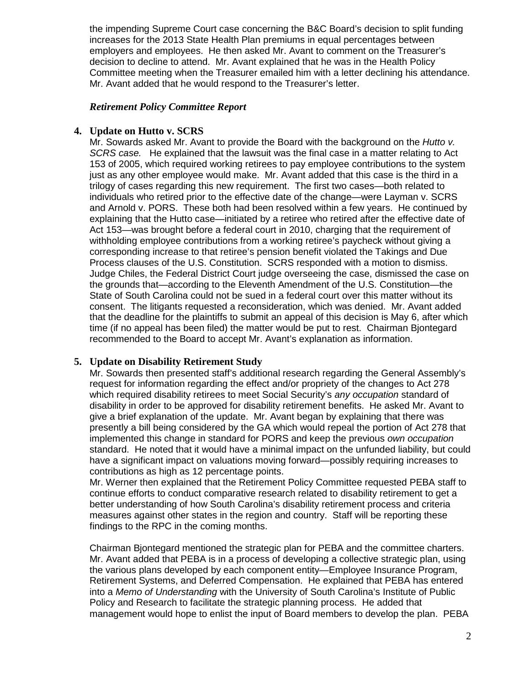the impending Supreme Court case concerning the B&C Board's decision to split funding increases for the 2013 State Health Plan premiums in equal percentages between employers and employees. He then asked Mr. Avant to comment on the Treasurer's decision to decline to attend. Mr. Avant explained that he was in the Health Policy Committee meeting when the Treasurer emailed him with a letter declining his attendance. Mr. Avant added that he would respond to the Treasurer's letter.

### *Retirement Policy Committee Report*

### **4. Update on Hutto v. SCRS**

Mr. Sowards asked Mr. Avant to provide the Board with the background on the *Hutto v. SCRS case.* He explained that the lawsuit was the final case in a matter relating to Act 153 of 2005, which required working retirees to pay employee contributions to the system just as any other employee would make. Mr. Avant added that this case is the third in a trilogy of cases regarding this new requirement. The first two cases—both related to individuals who retired prior to the effective date of the change—were Layman v. SCRS and Arnold v. PORS. These both had been resolved within a few years. He continued by explaining that the Hutto case—initiated by a retiree who retired after the effective date of Act 153—was brought before a federal court in 2010, charging that the requirement of withholding employee contributions from a working retiree's paycheck without giving a corresponding increase to that retiree's pension benefit violated the Takings and Due Process clauses of the U.S. Constitution. SCRS responded with a motion to dismiss. Judge Chiles, the Federal District Court judge overseeing the case, dismissed the case on the grounds that—according to the Eleventh Amendment of the U.S. Constitution—the State of South Carolina could not be sued in a federal court over this matter without its consent. The litigants requested a reconsideration, which was denied. Mr. Avant added that the deadline for the plaintiffs to submit an appeal of this decision is May 6, after which time (if no appeal has been filed) the matter would be put to rest. Chairman Bjontegard recommended to the Board to accept Mr. Avant's explanation as information.

### **5. Update on Disability Retirement Study**

Mr. Sowards then presented staff's additional research regarding the General Assembly's request for information regarding the effect and/or propriety of the changes to Act 278 which required disability retirees to meet Social Security's *any occupation* standard of disability in order to be approved for disability retirement benefits. He asked Mr. Avant to give a brief explanation of the update. Mr. Avant began by explaining that there was presently a bill being considered by the GA which would repeal the portion of Act 278 that implemented this change in standard for PORS and keep the previous *own occupation* standard. He noted that it would have a minimal impact on the unfunded liability, but could have a significant impact on valuations moving forward—possibly requiring increases to contributions as high as 12 percentage points.

Mr. Werner then explained that the Retirement Policy Committee requested PEBA staff to continue efforts to conduct comparative research related to disability retirement to get a better understanding of how South Carolina's disability retirement process and criteria measures against other states in the region and country. Staff will be reporting these findings to the RPC in the coming months.

Chairman Bjontegard mentioned the strategic plan for PEBA and the committee charters. Mr. Avant added that PEBA is in a process of developing a collective strategic plan, using the various plans developed by each component entity—Employee Insurance Program, Retirement Systems, and Deferred Compensation. He explained that PEBA has entered into a *Memo of Understanding* with the University of South Carolina's Institute of Public Policy and Research to facilitate the strategic planning process. He added that management would hope to enlist the input of Board members to develop the plan. PEBA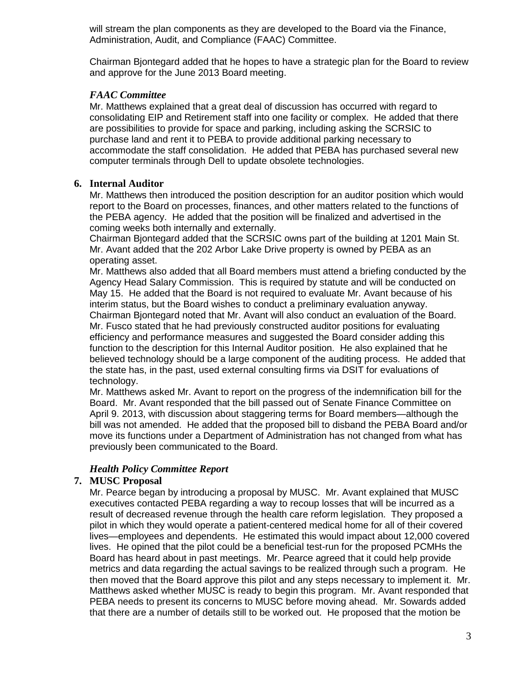will stream the plan components as they are developed to the Board via the Finance, Administration, Audit, and Compliance (FAAC) Committee.

Chairman Bjontegard added that he hopes to have a strategic plan for the Board to review and approve for the June 2013 Board meeting.

### *FAAC Committee*

Mr. Matthews explained that a great deal of discussion has occurred with regard to consolidating EIP and Retirement staff into one facility or complex. He added that there are possibilities to provide for space and parking, including asking the SCRSIC to purchase land and rent it to PEBA to provide additional parking necessary to accommodate the staff consolidation. He added that PEBA has purchased several new computer terminals through Dell to update obsolete technologies.

### **6. Internal Auditor**

Mr. Matthews then introduced the position description for an auditor position which would report to the Board on processes, finances, and other matters related to the functions of the PEBA agency. He added that the position will be finalized and advertised in the coming weeks both internally and externally.

Chairman Bjontegard added that the SCRSIC owns part of the building at 1201 Main St. Mr. Avant added that the 202 Arbor Lake Drive property is owned by PEBA as an operating asset.

Mr. Matthews also added that all Board members must attend a briefing conducted by the Agency Head Salary Commission. This is required by statute and will be conducted on May 15. He added that the Board is not required to evaluate Mr. Avant because of his interim status, but the Board wishes to conduct a preliminary evaluation anyway. Chairman Bjontegard noted that Mr. Avant will also conduct an evaluation of the Board. Mr. Fusco stated that he had previously constructed auditor positions for evaluating efficiency and performance measures and suggested the Board consider adding this function to the description for this Internal Auditor position. He also explained that he believed technology should be a large component of the auditing process. He added that the state has, in the past, used external consulting firms via DSIT for evaluations of technology.

Mr. Matthews asked Mr. Avant to report on the progress of the indemnification bill for the Board. Mr. Avant responded that the bill passed out of Senate Finance Committee on April 9. 2013, with discussion about staggering terms for Board members—although the bill was not amended. He added that the proposed bill to disband the PEBA Board and/or move its functions under a Department of Administration has not changed from what has previously been communicated to the Board.

### *Health Policy Committee Report*

### **7. MUSC Proposal**

Mr. Pearce began by introducing a proposal by MUSC. Mr. Avant explained that MUSC executives contacted PEBA regarding a way to recoup losses that will be incurred as a result of decreased revenue through the health care reform legislation. They proposed a pilot in which they would operate a patient-centered medical home for all of their covered lives—employees and dependents. He estimated this would impact about 12,000 covered lives. He opined that the pilot could be a beneficial test-run for the proposed PCMHs the Board has heard about in past meetings. Mr. Pearce agreed that it could help provide metrics and data regarding the actual savings to be realized through such a program. He then moved that the Board approve this pilot and any steps necessary to implement it. Mr. Matthews asked whether MUSC is ready to begin this program. Mr. Avant responded that PEBA needs to present its concerns to MUSC before moving ahead. Mr. Sowards added that there are a number of details still to be worked out. He proposed that the motion be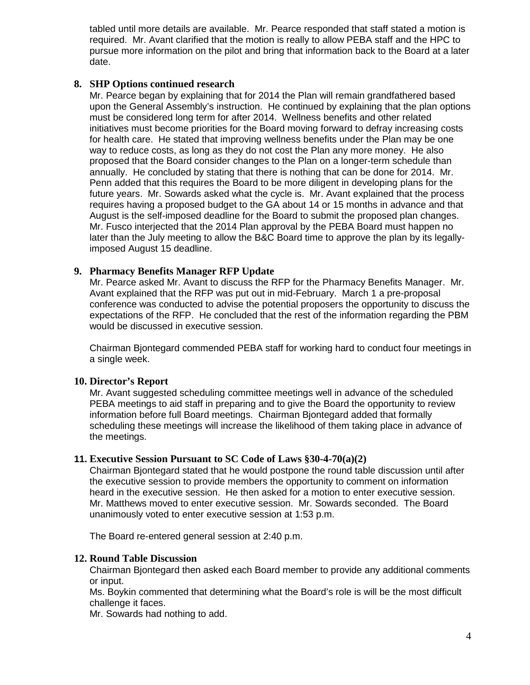tabled until more details are available. Mr. Pearce responded that staff stated a motion is required. Mr. Avant clarified that the motion is really to allow PEBA staff and the HPC to pursue more information on the pilot and bring that information back to the Board at a later date.

### **8. SHP Options continued research**

Mr. Pearce began by explaining that for 2014 the Plan will remain grandfathered based upon the General Assembly's instruction. He continued by explaining that the plan options must be considered long term for after 2014. Wellness benefits and other related initiatives must become priorities for the Board moving forward to defray increasing costs for health care. He stated that improving wellness benefits under the Plan may be one way to reduce costs, as long as they do not cost the Plan any more money. He also proposed that the Board consider changes to the Plan on a longer-term schedule than annually. He concluded by stating that there is nothing that can be done for 2014. Mr. Penn added that this requires the Board to be more diligent in developing plans for the future years. Mr. Sowards asked what the cycle is. Mr. Avant explained that the process requires having a proposed budget to the GA about 14 or 15 months in advance and that August is the self-imposed deadline for the Board to submit the proposed plan changes. Mr. Fusco interjected that the 2014 Plan approval by the PEBA Board must happen no later than the July meeting to allow the B&C Board time to approve the plan by its legallyimposed August 15 deadline.

### **9. Pharmacy Benefits Manager RFP Update**

Mr. Pearce asked Mr. Avant to discuss the RFP for the Pharmacy Benefits Manager. Mr. Avant explained that the RFP was put out in mid-February. March 1 a pre-proposal conference was conducted to advise the potential proposers the opportunity to discuss the expectations of the RFP. He concluded that the rest of the information regarding the PBM would be discussed in executive session.

Chairman Bjontegard commended PEBA staff for working hard to conduct four meetings in a single week.

### **10. Director's Report**

Mr. Avant suggested scheduling committee meetings well in advance of the scheduled PEBA meetings to aid staff in preparing and to give the Board the opportunity to review information before full Board meetings. Chairman Bjontegard added that formally scheduling these meetings will increase the likelihood of them taking place in advance of the meetings.

### **11. Executive Session Pursuant to SC Code of Laws §30-4-70(a)(2)**

Chairman Bjontegard stated that he would postpone the round table discussion until after the executive session to provide members the opportunity to comment on information heard in the executive session. He then asked for a motion to enter executive session. Mr. Matthews moved to enter executive session. Mr. Sowards seconded. The Board unanimously voted to enter executive session at 1:53 p.m.

The Board re-entered general session at 2:40 p.m.

### **12. Round Table Discussion**

Chairman Bjontegard then asked each Board member to provide any additional comments or input.

Ms. Boykin commented that determining what the Board's role is will be the most difficult challenge it faces.

Mr. Sowards had nothing to add.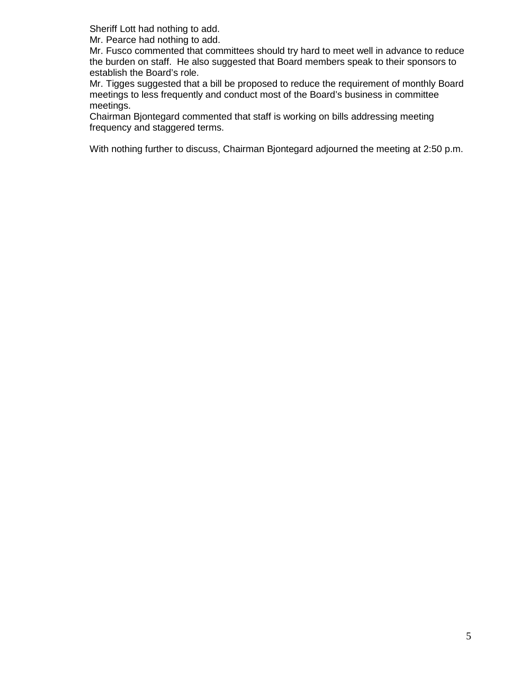Sheriff Lott had nothing to add.

Mr. Pearce had nothing to add.

Mr. Fusco commented that committees should try hard to meet well in advance to reduce the burden on staff. He also suggested that Board members speak to their sponsors to establish the Board's role.

Mr. Tigges suggested that a bill be proposed to reduce the requirement of monthly Board meetings to less frequently and conduct most of the Board's business in committee meetings.

Chairman Bjontegard commented that staff is working on bills addressing meeting frequency and staggered terms.

With nothing further to discuss, Chairman Bjontegard adjourned the meeting at 2:50 p.m.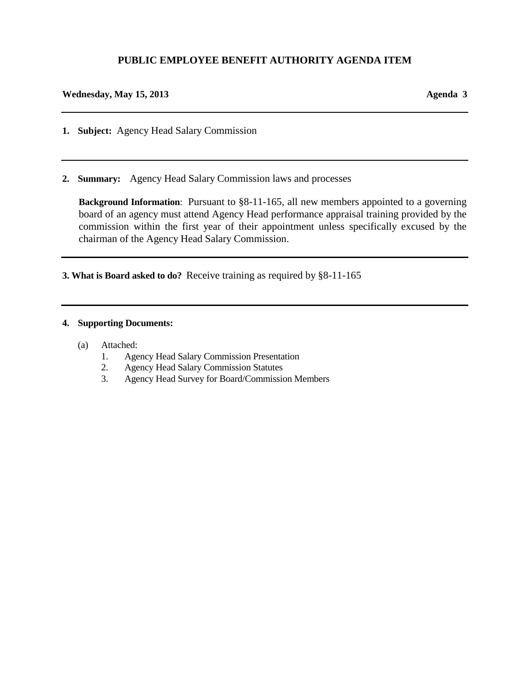### **PUBLIC EMPLOYEE BENEFIT AUTHORITY AGENDA ITEM**

### **Wednesday, May 15, 2013 Agenda 3**

**1. Subject:** Agency Head Salary Commission

**2. Summary:** Agency Head Salary Commission laws and processes

**Background Information**: Pursuant to §8-11-165, all new members appointed to a governing board of an agency must attend Agency Head performance appraisal training provided by the commission within the first year of their appointment unless specifically excused by the chairman of the Agency Head Salary Commission.

**3. What is Board asked to do?** Receive training as required by §8-11-165

### **4. Supporting Documents:**

- (a) Attached:
	- 1. Agency Head Salary Commission Presentation
	- 2. Agency Head Salary Commission Statutes
	- 3. Agency Head Survey for Board/Commission Members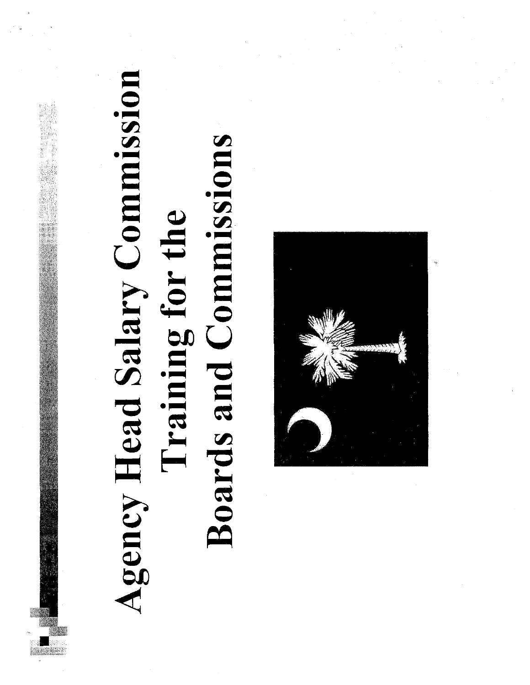## Agency Head Salary Commission **Boards and Commissions** Training for the

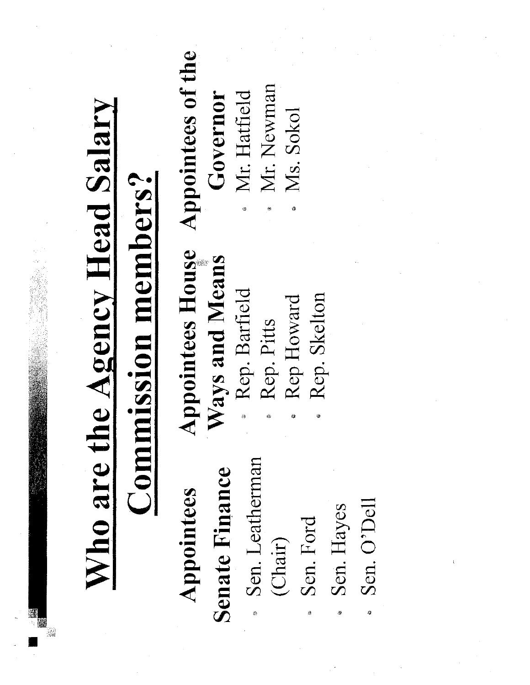| Who are the Agency Head Salary<br>ssion members? | Appointees of the<br>Mr. Newman<br>Mr. Hatfield<br>Governor<br>Ms. Sokol<br>$\hat{\Phi}$<br>ø<br><b>Appointees House</b><br>Ways and Means<br>Rep. Barfield<br>Rep. Skelton<br>Rep Howard<br>Rep. Pitts |  |
|--------------------------------------------------|---------------------------------------------------------------------------------------------------------------------------------------------------------------------------------------------------------|--|
| $\mathbf{Comm}$                                  | Sen. Leatherman<br>Senate Finance<br>Appointees<br>Sen. O'Dell<br>Sen. Hayes<br>Sen. Ford<br>(Chair)<br>ø<br>澹<br>紼                                                                                     |  |

 $\mathcal{F}^{\text{max}}_{\text{max}}$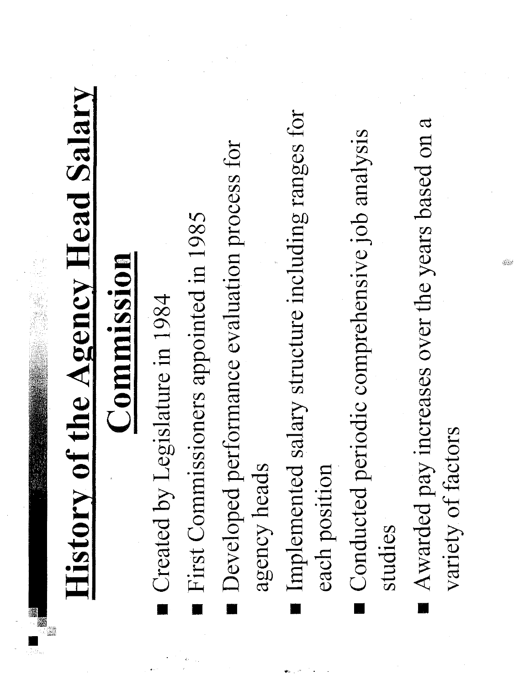# **History of the Agency Head Salary**

## Commission

- Created by Legislature in 1984
- First Commissioners appointed in 1985
- Developed performance evaluation process for agency heads
- Implemented salary structure including ranges for each position
- Conducted periodic comprehensive job analysis studies
- Awarded pay increases over the years based on a variety of factors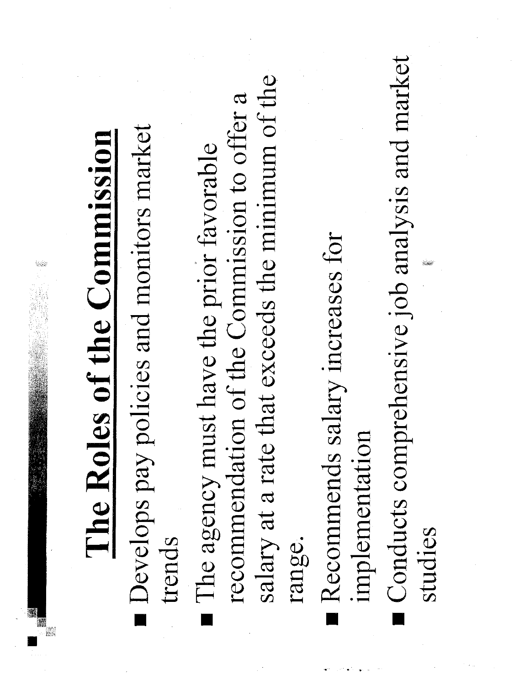| of the Commission<br>The Roles | Develops pay policies and monitors market<br>trends | at exceeds the minimum of the<br>of the Commission to offer a<br>have the prior favorable<br>The agency must<br>recommendation<br>salary at a rate th<br>range. | Recommends salary increases for<br>implementation | Conducts comprehensive job analysis and market<br>studies |  |
|--------------------------------|-----------------------------------------------------|-----------------------------------------------------------------------------------------------------------------------------------------------------------------|---------------------------------------------------|-----------------------------------------------------------|--|
|                                |                                                     |                                                                                                                                                                 |                                                   |                                                           |  |

 $\label{eq:2.1} \mathcal{L}(\mathcal{L}^{\text{max}}_{\mathcal{L}}(\mathcal{L}^{\text{max}}_{\mathcal{L}})) \leq \mathcal{L}(\mathcal{L}^{\text{max}}_{\mathcal{L}}(\mathcal{L}^{\text{max}}_{\mathcal{L}})) \leq \mathcal{L}(\mathcal{L}^{\text{max}}_{\mathcal{L}}(\mathcal{L}^{\text{max}}_{\mathcal{L}}))$ 

 $\mathcal{L}^{\text{max}}_{\text{max}}$  is the contract of  $\mathcal{L}^{\text{max}}_{\text{max}}$  is the contract of  $\mathcal{L}^{\text{max}}_{\text{max}}$  is the contract of  $\mathcal{L}^{\text{max}}_{\text{max}}$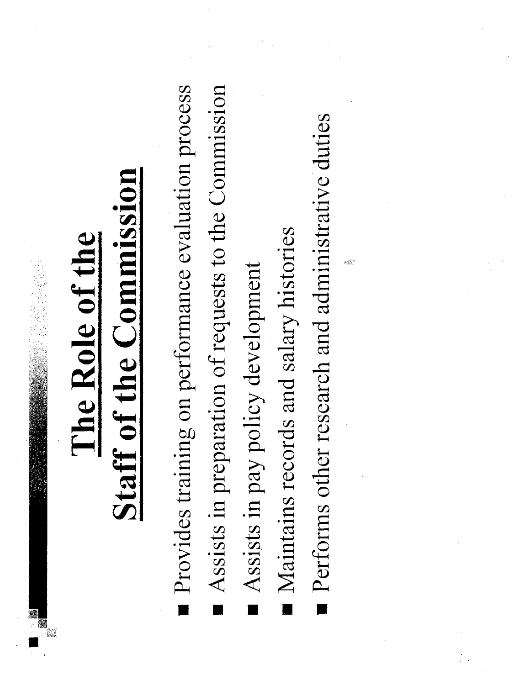## The Role of the

## Staff of the Commission

- Provides training on performance evaluation process
- Assists in preparation of requests to the Commission
- Assists in pay policy development
- Maintains records and salary histories
- Performs other research and administrative duties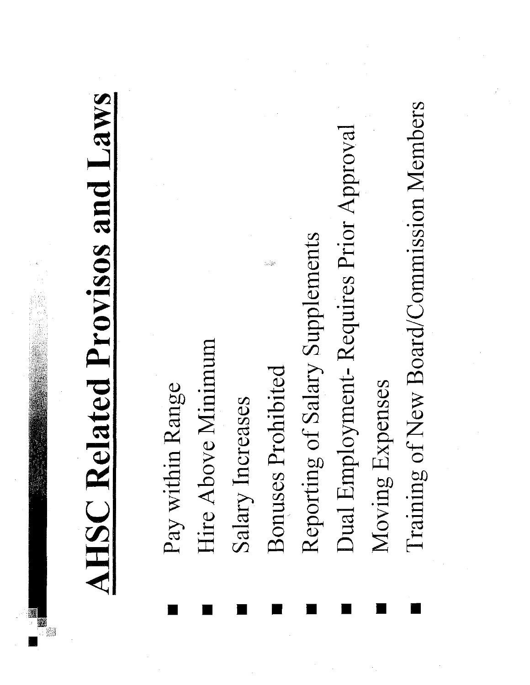**AHSC Related Provisos and Laws** 

- Pay within Range
- Hire Above Minimum
- Salary Increases
- Bonuses Prohibited
- Reporting of Salary Supplements
- Dual Employment-Requires Prior Approval
- Moving Expenses
- Training of New Board/Commission Members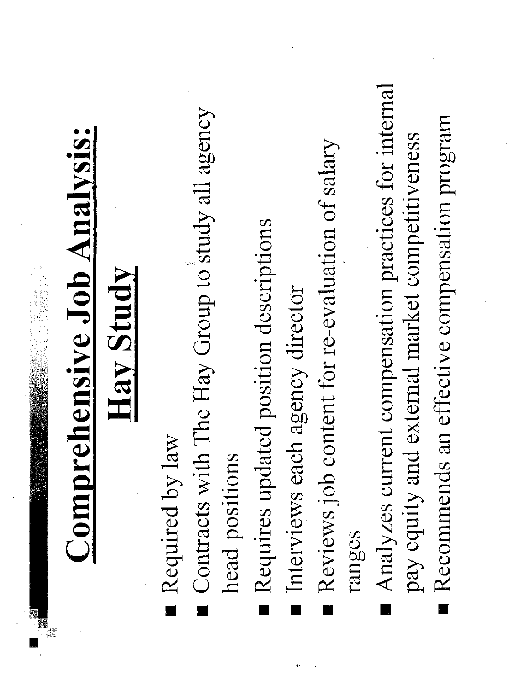**Comprehensive Job Analysis:** 

### Hay Study

- Required by law
- Contracts with The Hay Group to study all agency head positions
- Requires updated position descriptions
- Interviews each agency director
- Reviews job content for re-evaluation of salary ranges
- Analyzes current compensation practices for internal pay equity and external market competitiveness
	- Recommends an effective compensation program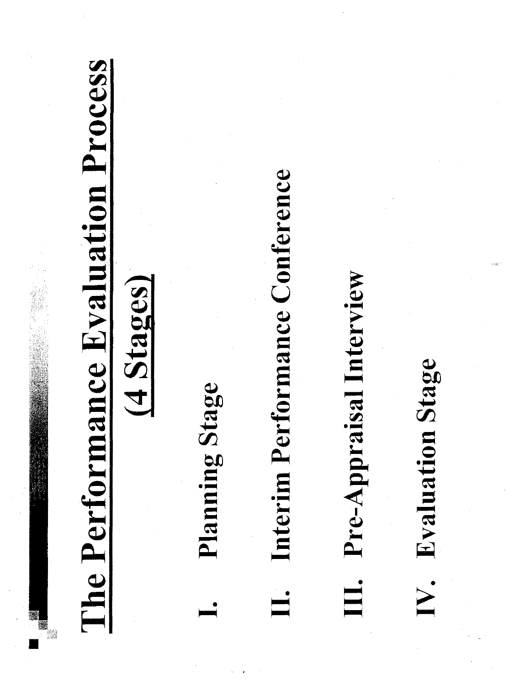

### $(4 \,$ Stages)

- Planning Stage
- Interim Performance Conference
- III. Pre-Appraisal Interview

## IV. Evaluation Stage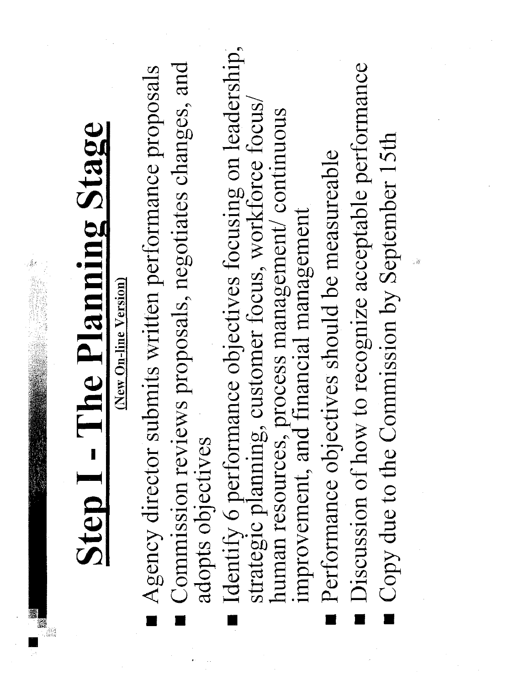ł,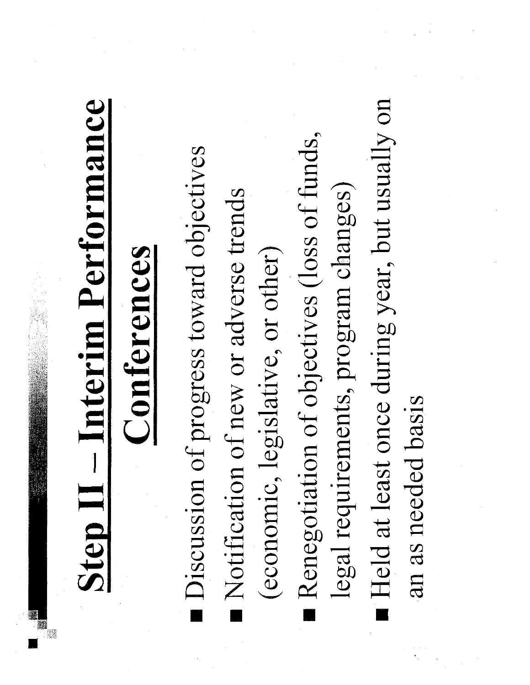# Step II – Interim Performance

## Conferences

- Discussion of progress toward objectives
- Notification of new or adverse trends
- (economic, legislative, or other)
- Renegotiation of objectives (loss of funds, legal requirements, program changes)
- Held at least once during year, but usually on
	- an as needed basis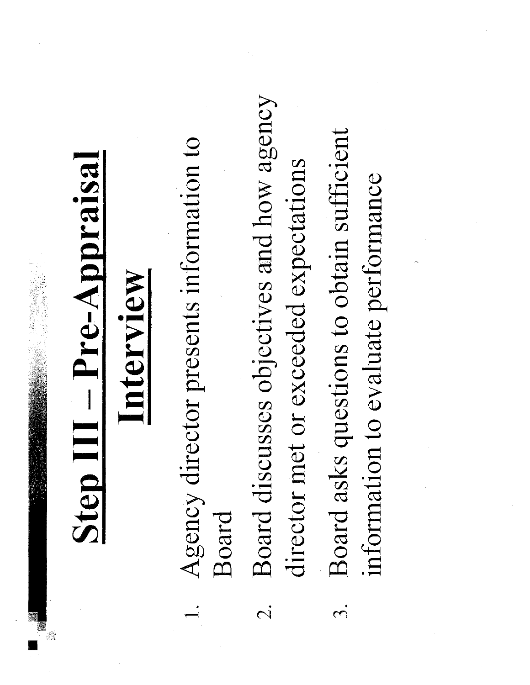## Step III – Pre-Appraisal

## Interview

- Agency director presents information to Board
- Board discusses objectives and how agency director met or exceeded expectations  $\overline{C}$
- Board asks questions to obtain sufficient information to evaluate performance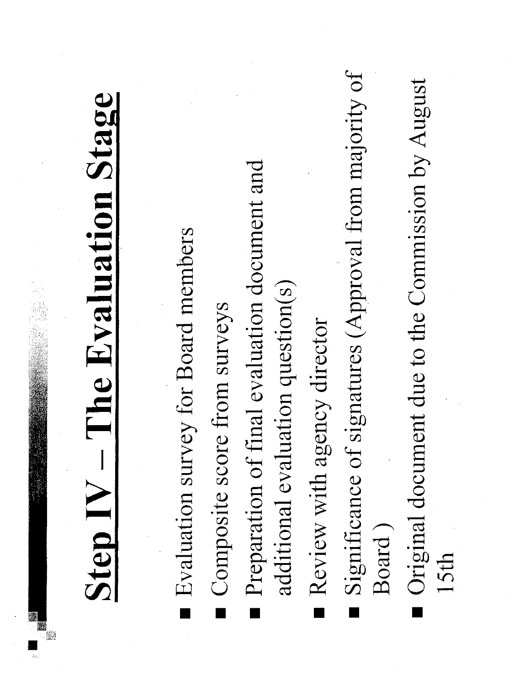# Step IV – The Evaluation Stage

- Evaluation survey for Board members
- Composite score from surveys
- Preparation of final evaluation document and additional evaluation question(s)
- Review with agency director
- Significance of signatures (Approval from majority of Board)
- Original document due to the Commission by August 15th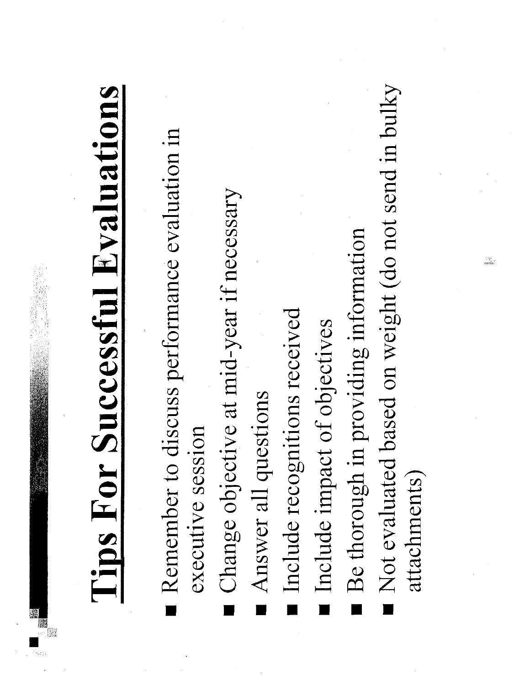

- Remember to discuss performance evaluation in executive session
- Change objective at mid-year if necessary
- Answer all questions
- Include recognitions received
- Include impact of objectives
- Be thorough in providing information
- Not evaluated based on weight (do not send in bulky attachments)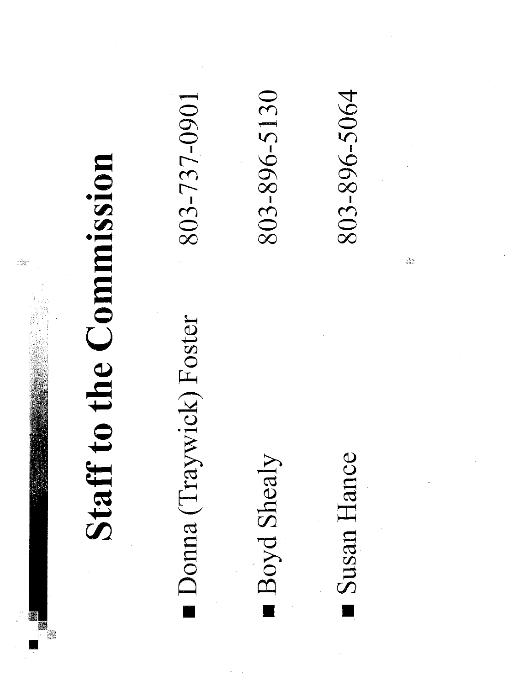

Donna (Traywick) Foster

803-737-0901

Boyd Shealy

Susan Hance

803-896-5064

803-896-5130

rangen.<br>Alba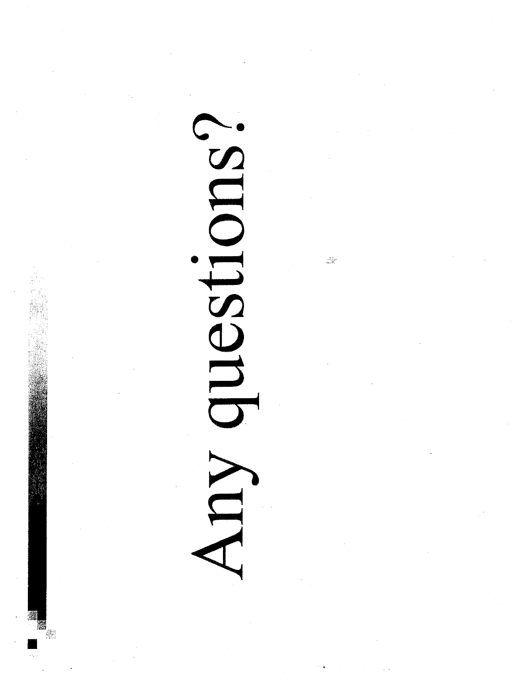

 $\begin{array}{l} \stackrel{3\rightarrow\infty}{\partial_1\partial_2\partial_3} \nu \\ \stackrel{3\rightarrow\infty}{\partial\partial_1\partial_2\partial_3} \end{array}$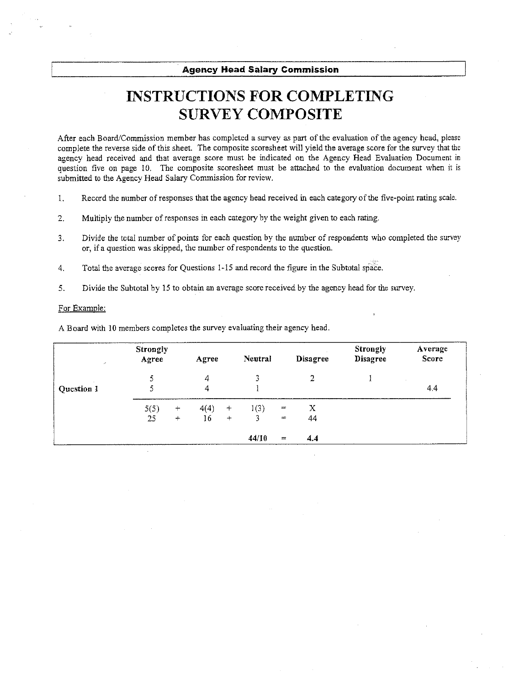**Agency Head Salary Commission** 

### **INSTRUCTIONS FOR COMPLETING SURVEY COMPOSITE**

After each Board/Commission member has completed a survey as part of the evaluation of the agency head, please complete the reverse side of this sheet. The composite scoresheet will yield the average score for the survey that the agency head received and that average score must be indicated on the Agency Head Evaluation Document in question five on page 10. The composite scoresheet must be attached to the evaluation document when it is submitted to the Agency Head Salary Commission for review.

- Record the number of responses that the agency head received in each category of the five-point rating scale.  $\mathbf{1}$ .
- Multiply the number of responses in each category by the weight given to each rating. 2.
- Divide the total number of points for each question by the number of respondents who completed the survey  $3<sub>1</sub>$ or, if a question was skipped, the number of respondents to the question.
- Total the average scores for Questions 1-15 and record the figure in the Subtotal space.  $4.$
- 5. Divide the Subtotal by 15 to obtain an average score received by the agency head for the survey.

### For Example:

A Board with 10 members completes the survey evaluating their agency head.

| $\lambda$  | <b>Strongly</b><br>Agree |                   | Agree          |        | Neutral |               | <b>Disagree</b> | <b>Strongly</b><br>Disagree | Average<br>Score |
|------------|--------------------------|-------------------|----------------|--------|---------|---------------|-----------------|-----------------------------|------------------|
|            |                          |                   | $\overline{A}$ |        | 3       |               | $\overline{2}$  |                             |                  |
| Question 1 |                          |                   | 4              |        |         |               |                 |                             | 4,4              |
|            | 5(5)                     | $\qquad \qquad +$ | 4(4)           | $^{+}$ | 1(3)    | $\equiv$      | $\mathbf{X}$    |                             |                  |
|            | 25                       | $+$               | 16             | $+$    | 3       | $\equiv$      | 44              |                             |                  |
|            |                          |                   |                |        | 44/10   | $\frac{1}{2}$ | 4.4             |                             |                  |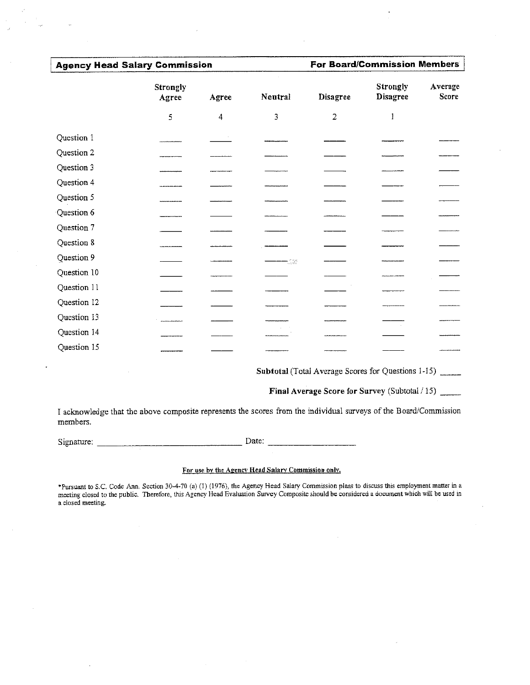### **Agency Head Salary Commission**

**For Board/Commission Members** 

|             | <b>Strongly</b><br>Agree | Agree                   | Neutral    | <b>Disagree</b> | <b>Strongly</b><br><b>Disagree</b> | Average<br><b>Score</b> |  |  |
|-------------|--------------------------|-------------------------|------------|-----------------|------------------------------------|-------------------------|--|--|
|             | 5                        | $\overline{\mathbf{4}}$ | 3          | $\overline{2}$  | 1                                  |                         |  |  |
| Question 1  |                          |                         |            |                 |                                    |                         |  |  |
| Question 2  |                          |                         |            |                 |                                    |                         |  |  |
| Question 3  |                          |                         |            |                 |                                    |                         |  |  |
| Question 4  |                          |                         |            |                 |                                    |                         |  |  |
| Question 5  |                          |                         |            |                 |                                    |                         |  |  |
| Question 6  |                          |                         |            |                 |                                    |                         |  |  |
| Question 7  |                          |                         |            |                 |                                    |                         |  |  |
| Question 8  |                          |                         |            |                 |                                    |                         |  |  |
| Question 9  |                          |                         | $\pm$ 1.42 |                 |                                    |                         |  |  |
| Question 10 |                          |                         |            |                 |                                    |                         |  |  |
| Question 11 |                          |                         |            |                 |                                    |                         |  |  |
| Question 12 |                          |                         |            |                 |                                    |                         |  |  |
| Question 13 |                          |                         |            |                 |                                    |                         |  |  |
| Question 14 |                          |                         |            |                 |                                    |                         |  |  |
| Question 15 |                          |                         |            |                 |                                    |                         |  |  |

Subtotal (Total Average Scores for Questions 1-15)

Final Average Score for Survey (Subtotal / 15)

I acknowledge that the above composite represents the scores from the individual surveys of the Board/Commission members.

Date:

### For use by the Agency Head Salary Commission only.

\*Pursuant to S.C. Code Ann. Section 30-4-70 (a) (1) (1976), the Agency Head Salary Commission plans to discuss this employment matter in a meeting closed to the public. Therefore, this Agency Head Evaluation Survey Composite should be considered a document which will be used in a closed meeting.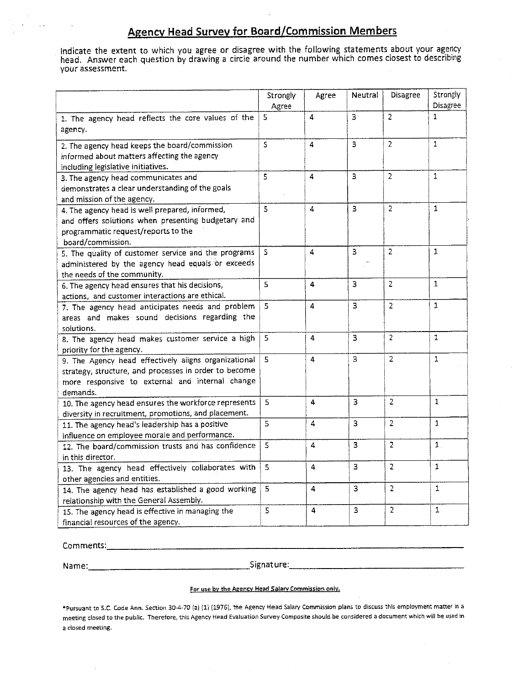### **Agency Head Survey for Board/Commission Members**

Indicate the extent to which you agree or disagree with the following statements about your agency<br>head. Answer each question by drawing a circle around the number which comes closest to describing your assessment.

|                                                                                                                                                                              | Strongly<br>Agree       | Agree | Neutral | Disagree       | Strongly<br>Disagree |
|------------------------------------------------------------------------------------------------------------------------------------------------------------------------------|-------------------------|-------|---------|----------------|----------------------|
| 1. The agency head reflects the core values of the<br>agency.                                                                                                                | 5                       | 4     | 3       | $\overline{2}$ | $\mathbf{1}$         |
| 2. The agency head keeps the board/commission<br>informed about matters affecting the agency<br>including legislative initiatives.                                           | S.                      | 4     | 3       | 2              | $\mathbf{1}$         |
| 3. The agency head communicates and<br>demonstrates a clear understanding of the goals<br>and mission of the agency.                                                         | 5                       | 4     | 3       | $\overline{2}$ | $\mathbf{1}$         |
| 4. The agency head is well prepared, informed,<br>and offers solutions when presenting budgetary and<br>programmatic request/reports to the<br>board/commission.             | 5                       | 4     | 3       | $\overline{2}$ | 1                    |
| 5. The quality of customer service and the programs<br>administered by the agency head equals or exceeds<br>the needs of the community.                                      | S                       | 4     | з       | $2$ .          | $\mathbf{1}$         |
| 6. The agency head ensures that his decisions,<br>actions, and customer interactions are ethical.                                                                            | 5                       | 4     | 3       | $\overline{2}$ | 1.                   |
| 7. The agency head anticipates needs and problem<br>areas and makes sound decisions regarding the<br>solutions.                                                              | 5                       | 4     | 3       | $\overline{2}$ | 1                    |
| 8. The agency head makes customer service a high<br>priority for the agency.                                                                                                 | 5.                      | 4     | 3       | $\overline{2}$ | $\mathbf{1}$         |
| 9. The Agency head effectively aligns organizational<br>strategy, structure, and processes in order to become<br>more responsive to external and internal change<br>demands. | 5                       | 4     | 3       | $\overline{2}$ | 1                    |
| 10. The agency head ensures the workforce represents<br>diversity in recruitment, promotions, and placement.                                                                 | 5                       | 4     | з       | $\overline{2}$ | $\mathbf{1}$         |
| 11. The agency head's leadership has a positive<br>influence on employee morale and performance.                                                                             | $\overline{\mathbf{5}}$ | 4     | 3       | $\overline{2}$ | 1                    |
| 12. The board/commission trusts and has confidence<br>in this director.                                                                                                      | 5                       | 4     | з       | 2              | $\mathbf 1$ .        |
| 13. The agency head effectively collaborates with<br>other agencies and entities.                                                                                            | 5                       | 4     | 3       | $\overline{2}$ | 1                    |
| 14. The agency head has established a good working<br>relationship with the General Assembly.                                                                                | 5                       | 4     | 3       | 2              | $\mathbf{1}$         |
| 15. The agency head is effective in managing the<br>financial resources of the agency.                                                                                       | 5                       | 4     | 3       | $\overline{2}$ | $\mathbf{1}$         |

Signature: Signature:

### For use by the Agency Head Salary Commission only.

\*Pursuant to S.C. Code Ann. Section 30-4-70 (a) (1) (1976), the Agency Head Salary Commission plans to discuss this employment matter in a meeting closed to the public. Therefore, this Agency Head Evaluation Survey Composite should be considered a document which will be used in a closed meeting.

 $\sim$   $\sim$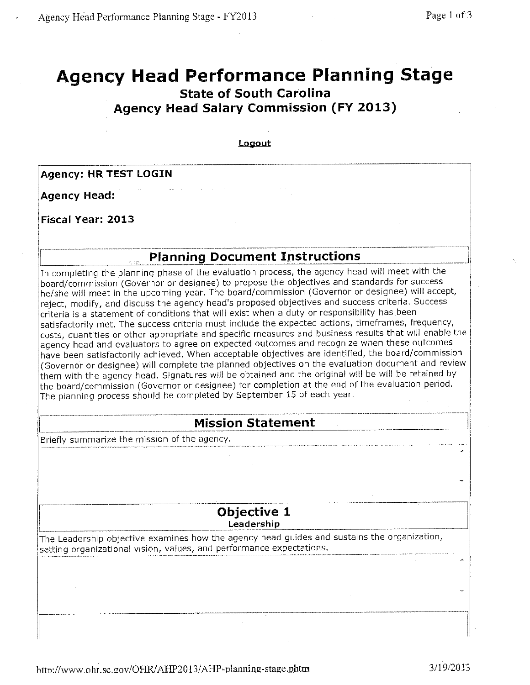### **Agency Head Performance Planning Stage State of South Carolina Agency Head Salary Commission (FY 2013)**

Logout

**Agency: HR TEST LOGIN** 

**Agency Head:** 

**Fiscal Year: 2013** 

### **Planning Document Instructions**

In completing the planning phase of the evaluation process, the agency head will meet with the board/commission (Governor or designee) to propose the objectives and standards for success he/she will meet in the upcoming year. The board/commission (Governor or designee) will accept, reject, modify, and discuss the agency head's proposed objectives and success criteria. Success criteria is a statement of conditions that will exist when a duty or responsibility has been satisfactorily met. The success criteria must include the expected actions, timeframes, frequency, costs, quantities or other appropriate and specific measures and business results that will enable the agency head and evaluators to agree on expected outcomes and recognize when these outcomes have been satisfactorily achieved. When acceptable objectives are identified, the board/commission (Governor or designee) will complete the planned objectives on the evaluation document and review them with the agency head. Signatures will be obtained and the original will be will be retained by the board/commission (Governor or designee) for completion at the end of the evaluation period. The planning process should be completed by September 15 of each year.

### **Mission Statement**

Briefly summarize the mission of the agency.

### Objective 1

Leadership

The Leadership objective examines how the agency head guides and sustains the organization, setting organizational vision, values, and performance expectations.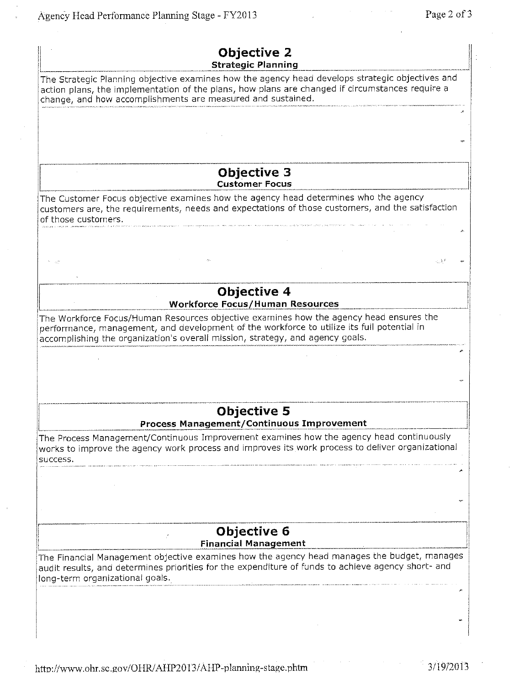Agency Head Performance Planning Stage - FY2013

| Objective 2<br><b>Strategic Planning</b>                                                                                                                                                                                                                              |  |
|-----------------------------------------------------------------------------------------------------------------------------------------------------------------------------------------------------------------------------------------------------------------------|--|
| The Strategic Planning objective examines how the agency head develops strategic objectives and<br>action plans, the implementation of the plans, how plans are changed if circumstances require a<br>change, and how accomplishments are measured and sustained.     |  |
|                                                                                                                                                                                                                                                                       |  |
|                                                                                                                                                                                                                                                                       |  |
| <b>Objective 3</b><br><b>Customer Focus</b>                                                                                                                                                                                                                           |  |
| The Customer Focus objective examines how the agency head determines who the agency<br>customers are, the requirements, needs and expectations of those customers, and the satisfaction<br>of those customers.                                                        |  |
|                                                                                                                                                                                                                                                                       |  |
|                                                                                                                                                                                                                                                                       |  |
| <b>Objective 4</b><br><b>Workforce Focus/Human Resources</b>                                                                                                                                                                                                          |  |
| The Workforce Focus/Human Resources objective examines how the agency head ensures the<br>performance, management, and development of the workforce to utilize its full potential in<br>accomplishing the organization's overall mission, strategy, and agency goals. |  |
|                                                                                                                                                                                                                                                                       |  |
|                                                                                                                                                                                                                                                                       |  |
| <b>Objective 5</b><br>Process Management/Continuous Improvement                                                                                                                                                                                                       |  |
| The Process Management/Continuous Improvement examines how the agency head continuously<br>works to improve the agency work process and improves its work process to deliver organizational                                                                           |  |
| success.                                                                                                                                                                                                                                                              |  |
|                                                                                                                                                                                                                                                                       |  |
|                                                                                                                                                                                                                                                                       |  |
| Objective 6<br><b>Financial Management</b>                                                                                                                                                                                                                            |  |
| The Financial Management objective examines how the agency head manages the budget, manages<br>audit results, and determines priorities for the expenditure of funds to achieve agency short- and<br>long-term organizational goals.                                  |  |
|                                                                                                                                                                                                                                                                       |  |
|                                                                                                                                                                                                                                                                       |  |
|                                                                                                                                                                                                                                                                       |  |

http://www.ohr.sc.gov/OHR/AHP2013/AHP-planning-stage.phtm

 $\frac{1}{2}$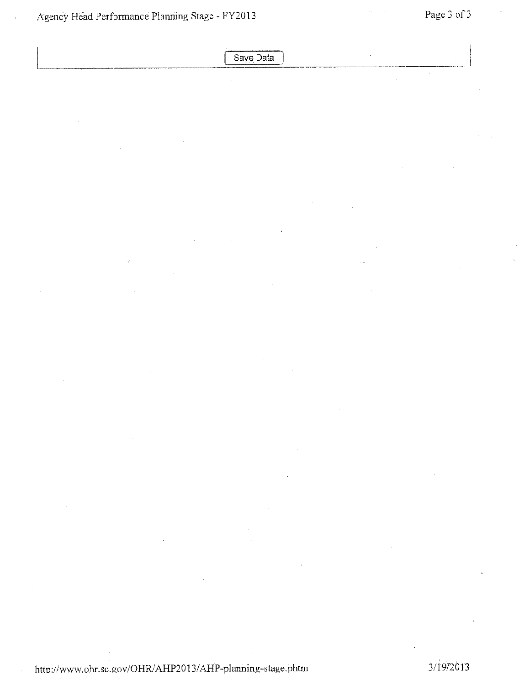Save Data

http://www.ohr.sc.gov/OHR/AHP2013/AHP-planning-stage.phtm

3/19/2013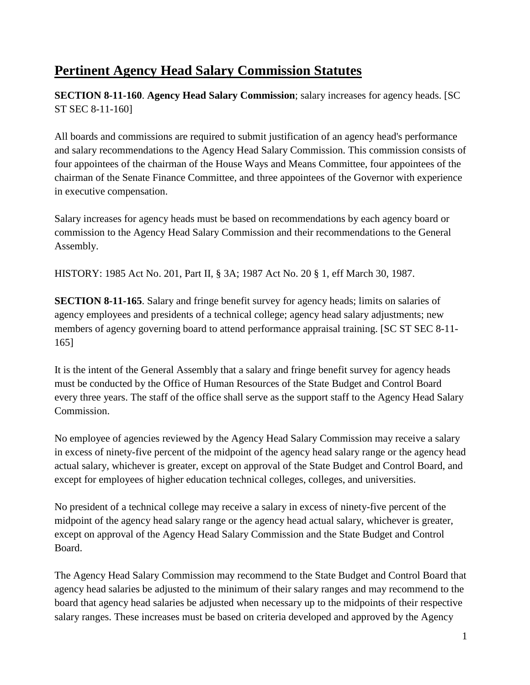### **Pertinent Agency Head Salary Commission Statutes**

**SECTION 8-11-160**. **Agency Head Salary Commission**; salary increases for agency heads. [SC ST SEC 8-11-160]

All boards and commissions are required to submit justification of an agency head's performance and salary recommendations to the Agency Head Salary Commission. This commission consists of four appointees of the chairman of the House Ways and Means Committee, four appointees of the chairman of the Senate Finance Committee, and three appointees of the Governor with experience in executive compensation.

Salary increases for agency heads must be based on recommendations by each agency board or commission to the Agency Head Salary Commission and their recommendations to the General Assembly.

HISTORY: 1985 Act No. 201, Part II, § 3A; 1987 Act No. 20 § 1, eff March 30, 1987.

**SECTION 8-11-165**. Salary and fringe benefit survey for agency heads; limits on salaries of agency employees and presidents of a technical college; agency head salary adjustments; new members of agency governing board to attend performance appraisal training. [SC ST SEC 8-11- 165]

It is the intent of the General Assembly that a salary and fringe benefit survey for agency heads must be conducted by the Office of Human Resources of the State Budget and Control Board every three years. The staff of the office shall serve as the support staff to the Agency Head Salary Commission.

No employee of agencies reviewed by the Agency Head Salary Commission may receive a salary in excess of ninety-five percent of the midpoint of the agency head salary range or the agency head actual salary, whichever is greater, except on approval of the State Budget and Control Board, and except for employees of higher education technical colleges, colleges, and universities.

No president of a technical college may receive a salary in excess of ninety-five percent of the midpoint of the agency head salary range or the agency head actual salary, whichever is greater, except on approval of the Agency Head Salary Commission and the State Budget and Control Board.

The Agency Head Salary Commission may recommend to the State Budget and Control Board that agency head salaries be adjusted to the minimum of their salary ranges and may recommend to the board that agency head salaries be adjusted when necessary up to the midpoints of their respective salary ranges. These increases must be based on criteria developed and approved by the Agency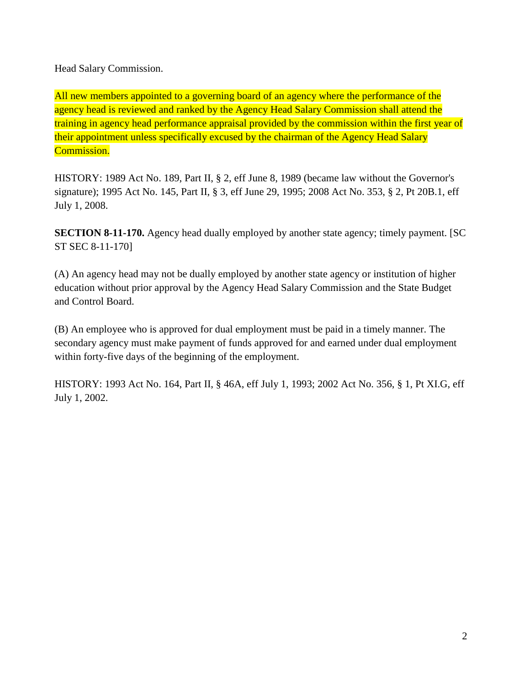Head Salary Commission.

All new members appointed to a governing board of an agency where the performance of the agency head is reviewed and ranked by the Agency Head Salary Commission shall attend the training in agency head performance appraisal provided by the commission within the first year of their appointment unless specifically excused by the chairman of the Agency Head Salary Commission.

HISTORY: 1989 Act No. 189, Part II, § 2, eff June 8, 1989 (became law without the Governor's signature); 1995 Act No. 145, Part II, § 3, eff June 29, 1995; 2008 Act No. 353, § 2, Pt 20B.1, eff July 1, 2008.

**SECTION 8-11-170.** Agency head dually employed by another state agency; timely payment. [SC ST SEC 8-11-170]

(A) An agency head may not be dually employed by another state agency or institution of higher education without prior approval by the Agency Head Salary Commission and the State Budget and Control Board.

(B) An employee who is approved for dual employment must be paid in a timely manner. The secondary agency must make payment of funds approved for and earned under dual employment within forty-five days of the beginning of the employment.

HISTORY: 1993 Act No. 164, Part II, § 46A, eff July 1, 1993; 2002 Act No. 356, § 1, Pt XI.G, eff July 1, 2002.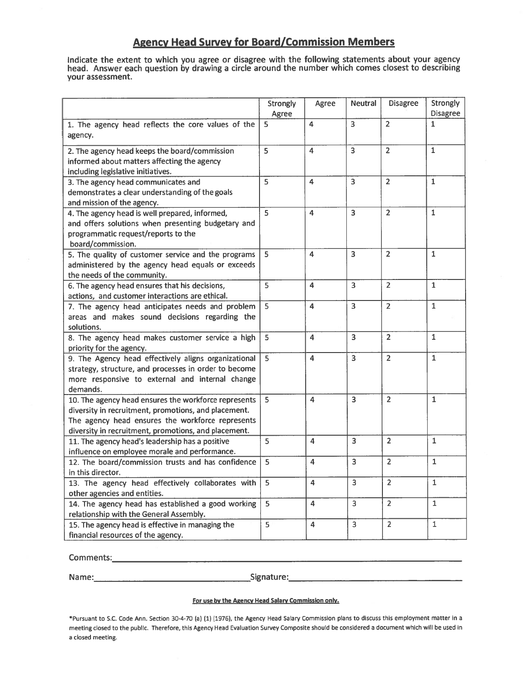### **Agency Head Survey for Board/Commission Members**

indicate the extent to which you agree or disagree with the following statements about your agency head. Answer each question by drawing a circle around the number which comes closest to describing your assessment.

|                                                       | Strongly       | Agree          | <b>Neutral</b> | <b>Disagree</b> | Strongly       |
|-------------------------------------------------------|----------------|----------------|----------------|-----------------|----------------|
|                                                       | Agree          |                |                |                 | Disagree       |
| 1. The agency head reflects the core values of the    | 5              | 4              | 3              | $\overline{2}$  | $\mathbf{1}$   |
| agency.                                               |                |                |                |                 |                |
| 2. The agency head keeps the board/commission         | 5              | $\overline{4}$ | $\overline{3}$ | $\overline{2}$  | $\overline{1}$ |
| informed about matters affecting the agency           |                |                |                |                 |                |
| including legislative initiatives.                    |                |                |                |                 |                |
| 3. The agency head communicates and                   | 5              | 4              | $\overline{3}$ | $\overline{2}$  | $\mathbf{1}$   |
| demonstrates a clear understanding of the goals       |                |                |                |                 |                |
| and mission of the agency.                            |                |                |                |                 |                |
| 4. The agency head is well prepared, informed,        | 5              | 4              | $\overline{3}$ | $\overline{2}$  | $\mathbf{1}$   |
| and offers solutions when presenting budgetary and    |                |                |                |                 |                |
| programmatic request/reports to the                   |                |                |                |                 |                |
| board/commission.                                     |                |                |                |                 |                |
| 5. The quality of customer service and the programs   | 5              | 4              | 3              | $\overline{2}$  | 1              |
| administered by the agency head equals or exceeds     |                |                |                |                 |                |
| the needs of the community.                           |                |                |                |                 |                |
| 6. The agency head ensures that his decisions,        | $\overline{5}$ | 4              | 3              | $\overline{2}$  | $\mathbf{1}$   |
| actions, and customer interactions are ethical.       |                |                |                |                 |                |
| 7. The agency head anticipates needs and problem      | 5              | 4              | 3              | $\overline{2}$  | $\mathbf{1}$   |
| areas and makes sound decisions regarding the         |                |                |                |                 |                |
| solutions.                                            |                |                |                |                 |                |
| 8. The agency head makes customer service a high      | 5              | $\overline{4}$ | 3              | $\overline{2}$  | $\mathbf{1}$   |
| priority for the agency.                              |                |                |                |                 |                |
| 9. The Agency head effectively aligns organizational  | $\overline{5}$ | 4              | 3              | $\overline{2}$  | $\mathbf{1}$   |
| strategy, structure, and processes in order to become |                |                |                |                 |                |
| more responsive to external and internal change       |                |                |                |                 |                |
| demands.                                              |                |                |                |                 |                |
| 10. The agency head ensures the workforce represents  | $\overline{5}$ | 4              | $\overline{3}$ | $\overline{2}$  | $\mathbf{1}$   |
| diversity in recruitment, promotions, and placement.  |                |                |                |                 |                |
| The agency head ensures the workforce represents      |                |                |                |                 |                |
| diversity in recruitment, promotions, and placement.  |                |                |                |                 |                |
| 11. The agency head's leadership has a positive       | 5              | $\overline{4}$ | $\overline{3}$ | $\overline{2}$  | $\mathbf{1}$   |
| influence on employee morale and performance.         |                |                |                |                 |                |
| 12. The board/commission trusts and has confidence    | 5              | 4              | $\overline{3}$ | $\overline{2}$  | $\mathbf{1}$   |
| in this director.                                     |                |                |                |                 |                |
| 13. The agency head effectively collaborates with     | 5              | 4              | 3              | $\overline{2}$  | $\mathbf{1}$   |
| other agencies and entities.                          |                |                |                |                 |                |
| 14. The agency head has established a good working    | 5              | $\overline{4}$ | 3              | $\overline{2}$  | $\mathbf{1}$   |
| relationship with the General Assembly.               |                |                |                |                 |                |
| 15. The agency head is effective in managing the      | 5              | 4              | 3              | $\overline{2}$  | $\mathbf 1$    |
| financial resources of the agency.                    |                |                |                |                 |                |

Name:

Signature:

### For use by the Agency Head Salary Commission only.

\*Pursuant to S.C. Code Ann. Section 30-4-70 (a) (1) (1976), the Agency Head Salary Commission plans to discuss this employment matter in a meeting closed to the public. Therefore, this Agency Head Evaluation Survey Composite should be considered a document which will be used in a closed meeting.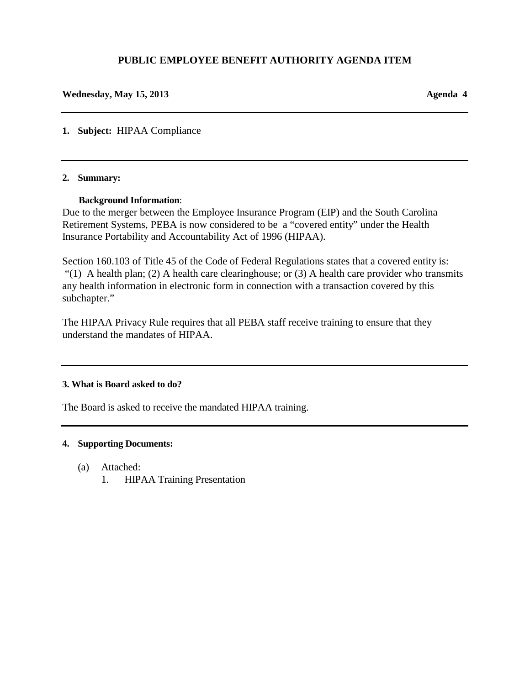#### **PUBLIC EMPLOYEE BENEFIT AUTHORITY AGENDA ITEM**

#### **Wednesday, May 15, 2013 Agenda 4**

**1. Subject:** HIPAA Compliance

#### **2. Summary:**

#### **Background Information**:

Due to the merger between the Employee Insurance Program (EIP) and the South Carolina Retirement Systems, PEBA is now considered to be a "covered entity" under the Health Insurance Portability and Accountability Act of 1996 (HIPAA).

Section 160.103 of Title 45 of the Code of Federal Regulations states that a covered entity is: "(1) A health plan; (2) A health care clearinghouse; or (3) A health care provider who transmits any health information in electronic form in connection with a transaction covered by this subchapter."

The HIPAA Privacy Rule requires that all PEBA staff receive training to ensure that they understand the mandates of HIPAA.

#### **3. What is Board asked to do?**

The Board is asked to receive the mandated HIPAA training.

#### **4. Supporting Documents:**

- (a) Attached:
	- 1. HIPAA Training Presentation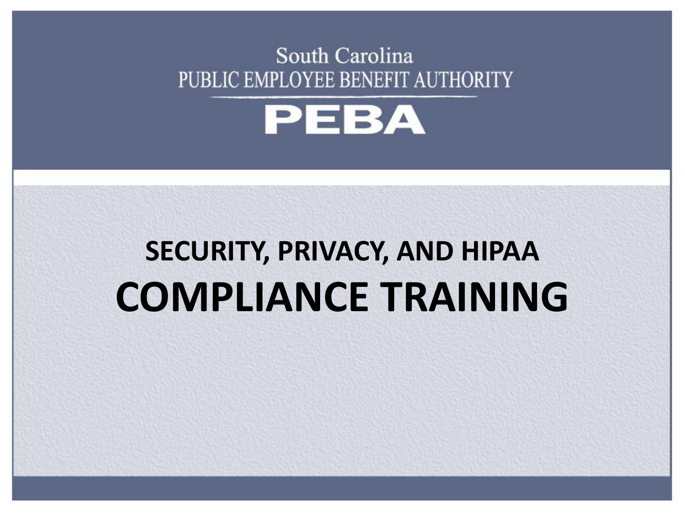### South Carolina PUBLIC EMPLOYEE BENEFIT AUTHORITY



### **SECURITY, PRIVACY, AND HIPAA COMPLIANCE TRAINING**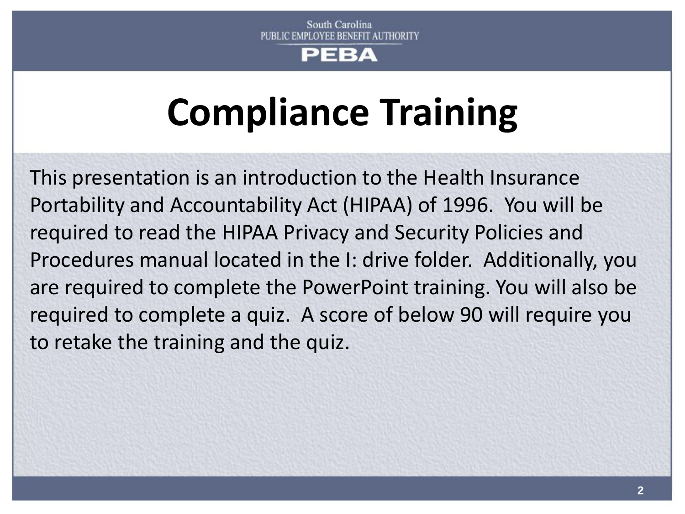#### EΒA

## **Compliance Training**

This presentation is an introduction to the Health Insurance Portability and Accountability Act (HIPAA) of 1996. You will be required to read the HIPAA Privacy and Security Policies and Procedures manual located in the I: drive folder. Additionally, you are required to complete the PowerPoint training. You will also be required to complete a quiz. A score of below 90 will require you to retake the training and the quiz.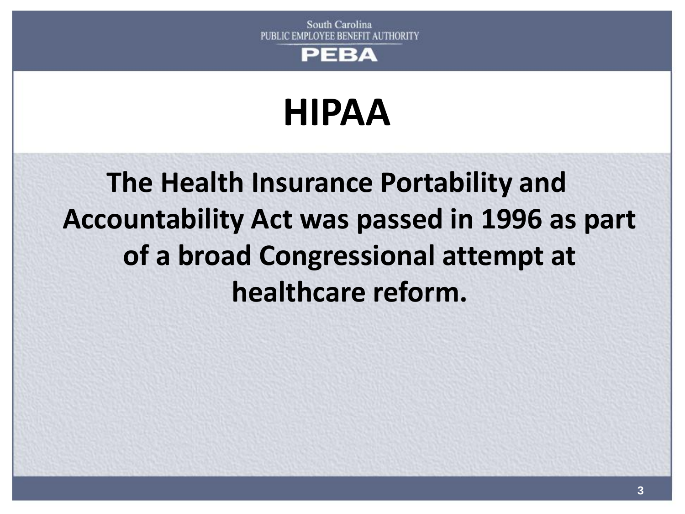

## **HIPAA**

**The Health Insurance Portability and Accountability Act was passed in 1996 as part of a broad Congressional attempt at healthcare reform.**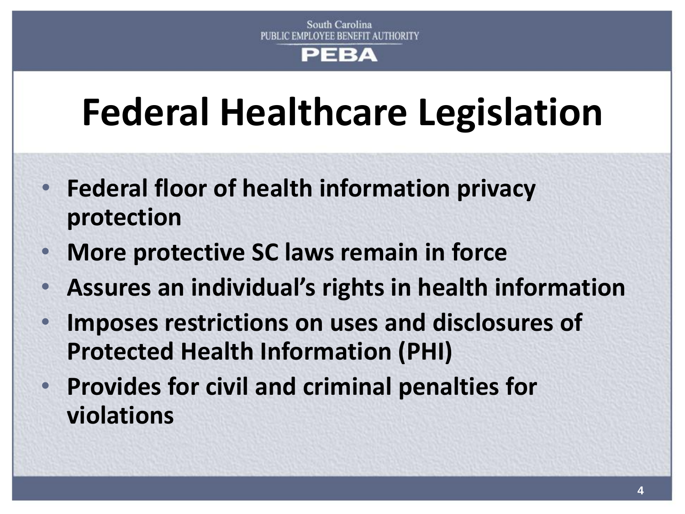## **Federal Healthcare Legislation**

- **Federal floor of health information privacy protection**
- **More protective SC laws remain in force**
- **Assures an individual's rights in health information**
- **Imposes restrictions on uses and disclosures of Protected Health Information (PHI)**
- **Provides for civil and criminal penalties for violations**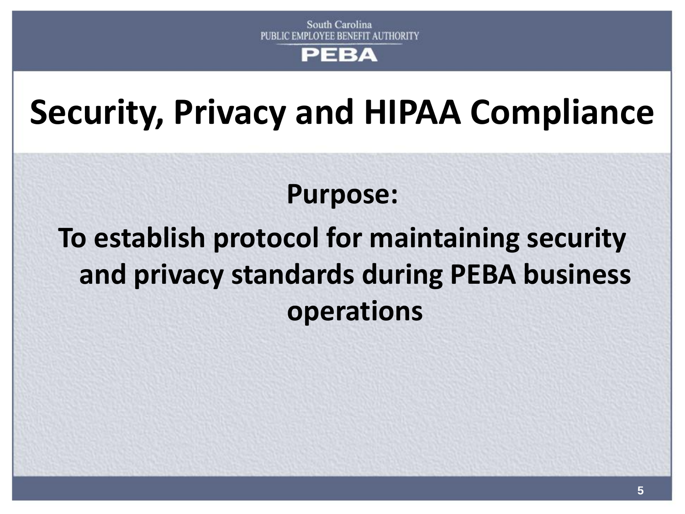**Security, Privacy and HIPAA Compliance** 

### **Purpose:**

### **To establish protocol for maintaining security and privacy standards during PEBA business operations**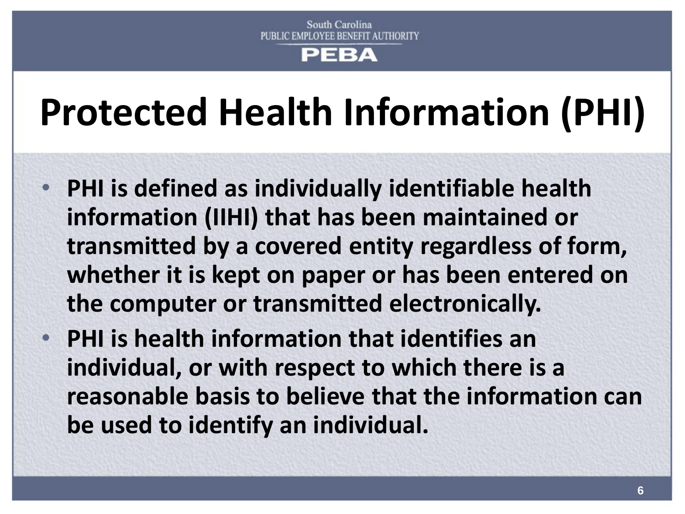# **Protected Health Information (PHI)**

- **PHI is defined as individually identifiable health information (IIHI) that has been maintained or transmitted by a covered entity regardless of form, whether it is kept on paper or has been entered on the computer or transmitted electronically.**
- **PHI is health information that identifies an individual, or with respect to which there is a reasonable basis to believe that the information can be used to identify an individual.**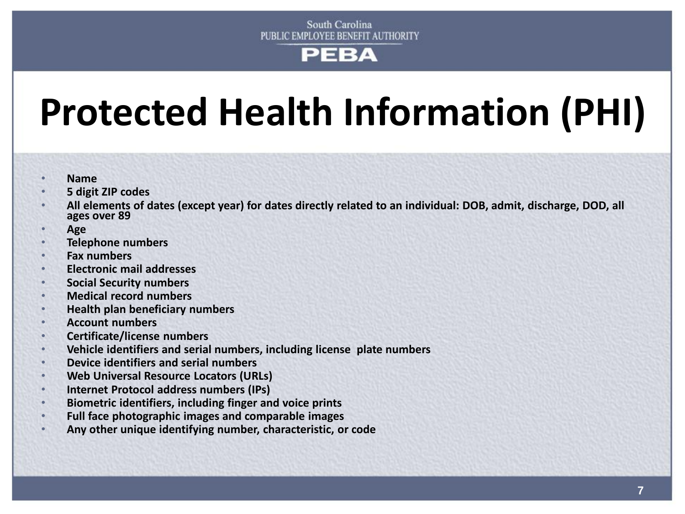## **Protected Health Information (PHI)**

- **Name**
- **5 digit ZIP codes**
- **All elements of dates (except year) for dates directly related to an individual: DOB, admit, discharge, DOD, all ages over 89**
- **Age**
- **Telephone numbers**
- **Fax numbers**
- **Electronic mail addresses**
- **Social Security numbers**
- **Medical record numbers**
- **Health plan beneficiary numbers**
- **Account numbers**
- **Certificate/license numbers**
- **Vehicle identifiers and serial numbers, including license plate numbers**
- **Device identifiers and serial numbers**
- **Web Universal Resource Locators (URLs)**
- **Internet Protocol address numbers (IPs)**
- **Biometric identifiers, including finger and voice prints**
- **Full face photographic images and comparable images**
- **Any other unique identifying number, characteristic, or code**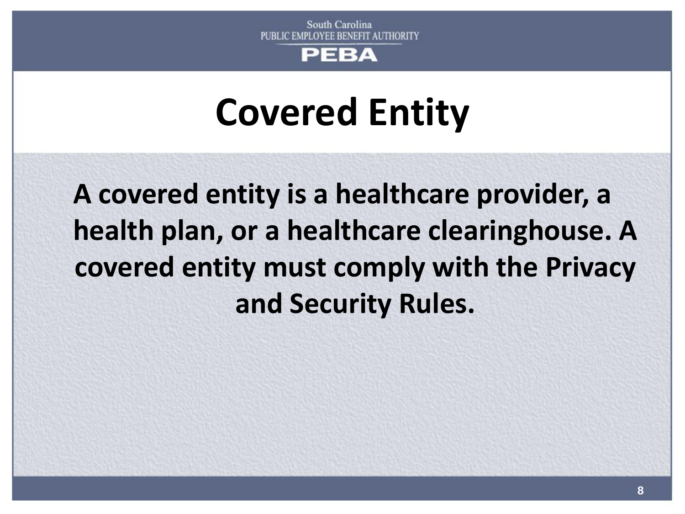

### **Covered Entity**

**A covered entity is a healthcare provider, a health plan, or a healthcare clearinghouse. A covered entity must comply with the Privacy and Security Rules.**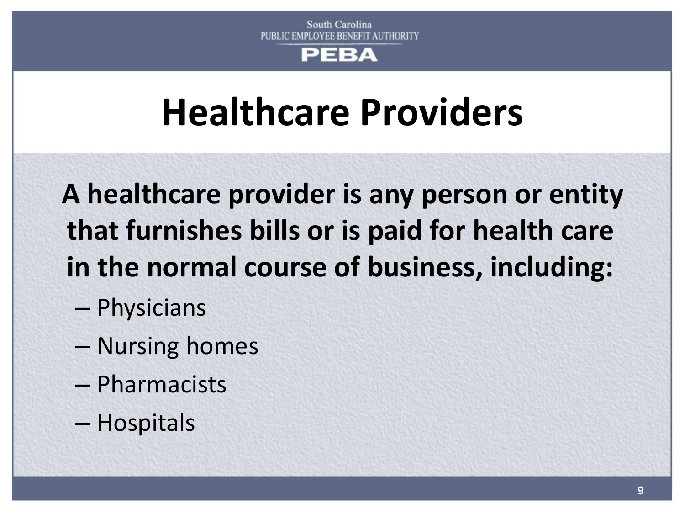## **Healthcare Providers**

 **A healthcare provider is any person or entity that furnishes bills or is paid for health care in the normal course of business, including:** 

- Physicians
- Nursing homes
- Pharmacists
- Hospitals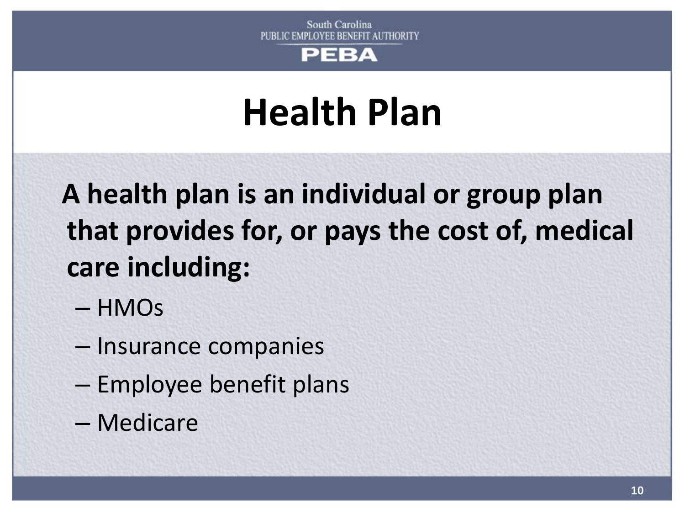

### **Health Plan**

 **A health plan is an individual or group plan that provides for, or pays the cost of, medical care including:** 

- HMOs
- Insurance companies
- Employee benefit plans
- Medicare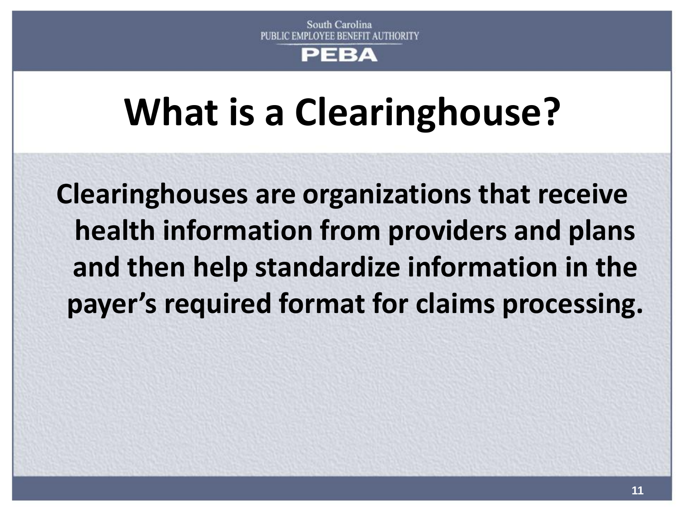#### PERA

## **What is a Clearinghouse?**

**Clearinghouses are organizations that receive health information from providers and plans and then help standardize information in the payer's required format for claims processing.**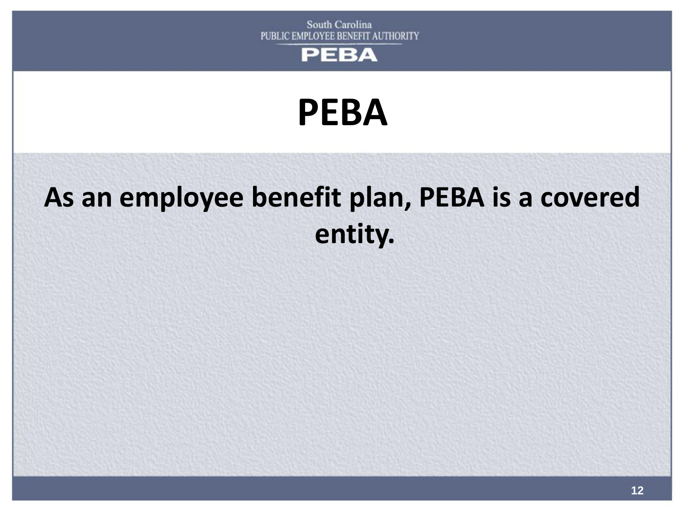



### **As an employee benefit plan, PEBA is a covered entity.**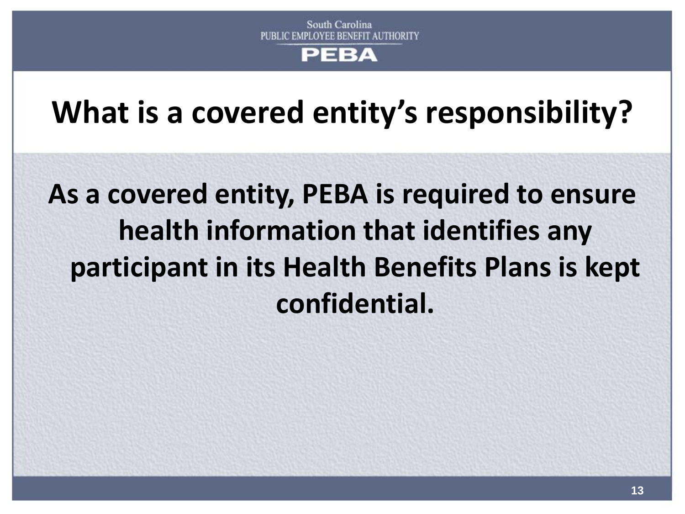**What is a covered entity's responsibility?**

**As a covered entity, PEBA is required to ensure health information that identifies any participant in its Health Benefits Plans is kept confidential.**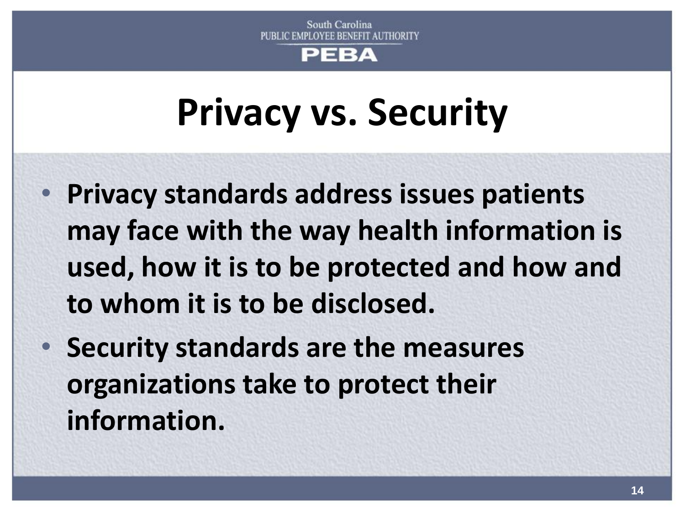#### PERA

### **Privacy vs. Security**

- **Privacy standards address issues patients may face with the way health information is used, how it is to be protected and how and to whom it is to be disclosed.**
- **Security standards are the measures organizations take to protect their information.**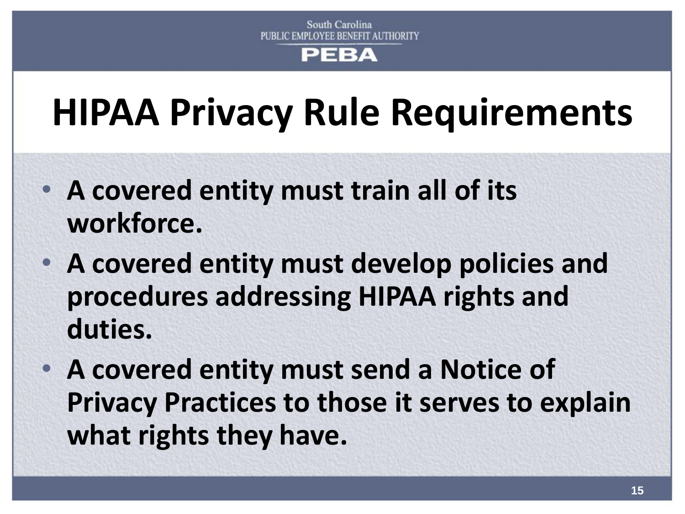### **HIPAA Privacy Rule Requirements**

- **A covered entity must train all of its workforce.**
- **A covered entity must develop policies and procedures addressing HIPAA rights and duties.**
- **A covered entity must send a Notice of Privacy Practices to those it serves to explain what rights they have.**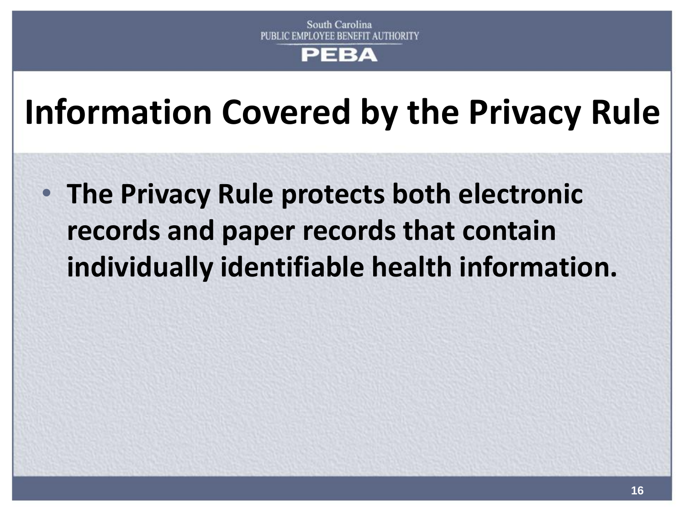### **Information Covered by the Privacy Rule**

• **The Privacy Rule protects both electronic records and paper records that contain individually identifiable health information.**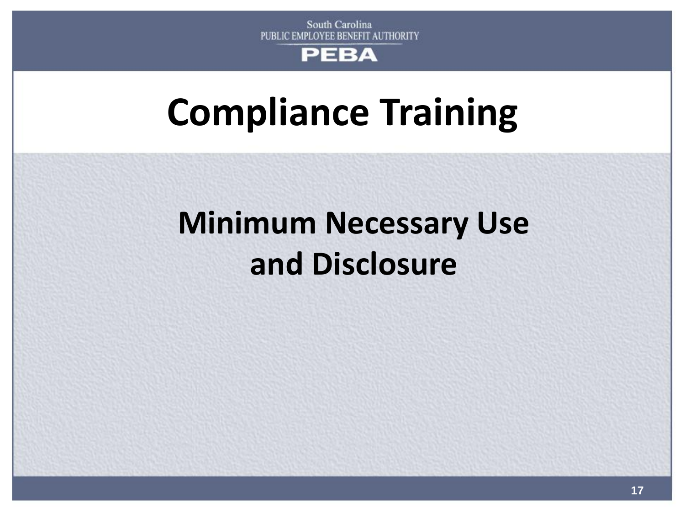### **Compliance Training**

### **Minimum Necessary Use and Disclosure**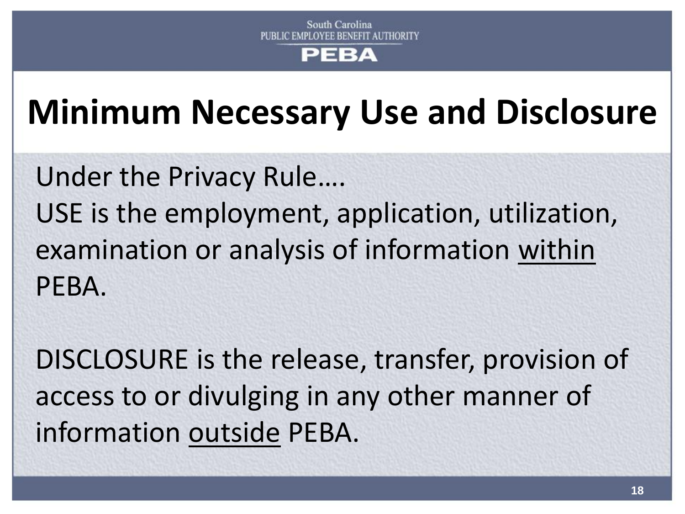#### FΒA

### **Minimum Necessary Use and Disclosure**

Under the Privacy Rule…. USE is the employment, application, utilization, examination or analysis of information within PEBA.

DISCLOSURE is the release, transfer, provision of access to or divulging in any other manner of information outside PEBA.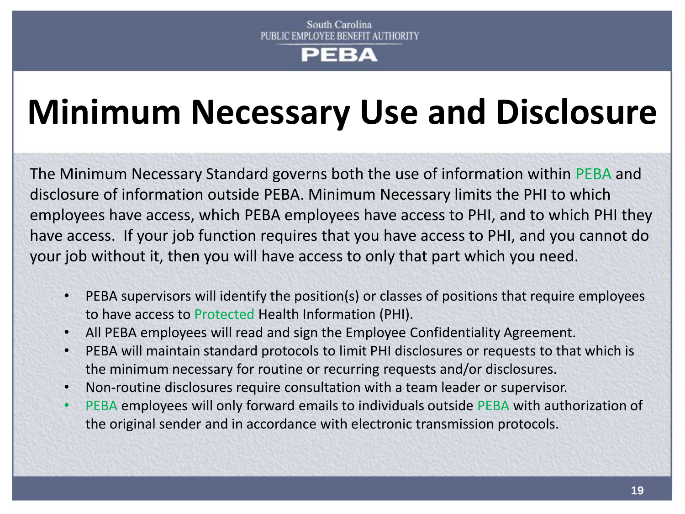### **Minimum Necessary Use and Disclosure**

The Minimum Necessary Standard governs both the use of information within PEBA and disclosure of information outside PEBA. Minimum Necessary limits the PHI to which employees have access, which PEBA employees have access to PHI, and to which PHI they have access. If your job function requires that you have access to PHI, and you cannot do your job without it, then you will have access to only that part which you need.

- PEBA supervisors will identify the position(s) or classes of positions that require employees to have access to Protected Health Information (PHI).
- All PEBA employees will read and sign the Employee Confidentiality Agreement.
- PEBA will maintain standard protocols to limit PHI disclosures or requests to that which is the minimum necessary for routine or recurring requests and/or disclosures.
- Non-routine disclosures require consultation with a team leader or supervisor.
- PEBA employees will only forward emails to individuals outside PEBA with authorization of the original sender and in accordance with electronic transmission protocols.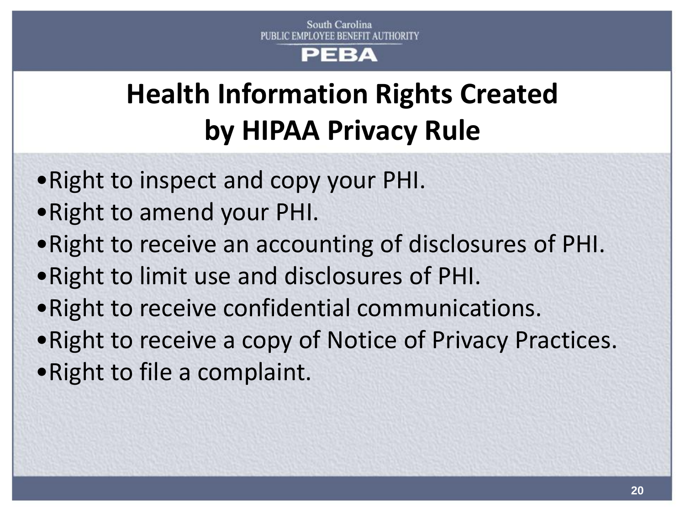### **Health Information Rights Created by HIPAA Privacy Rule**

- •Right to inspect and copy your PHI.
- •Right to amend your PHI.
- •Right to receive an accounting of disclosures of PHI.
- •Right to limit use and disclosures of PHI.
- •Right to receive confidential communications.
- •Right to receive a copy of Notice of Privacy Practices.
- •Right to file a complaint.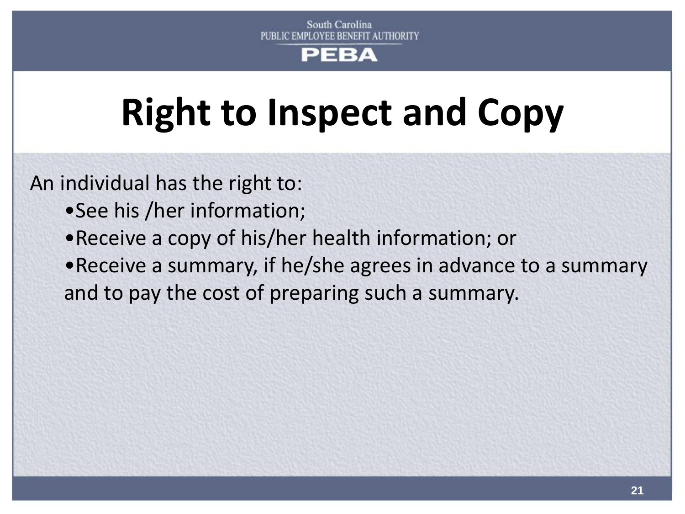## **Right to Inspect and Copy**

An individual has the right to:

- •See his /her information;
- •Receive a copy of his/her health information; or
- •Receive a summary, if he/she agrees in advance to a summary and to pay the cost of preparing such a summary.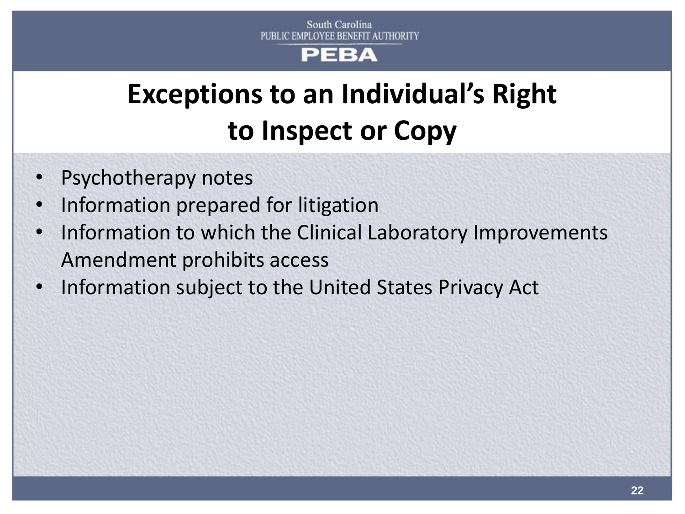#### РЕВА

### **Exceptions to an Individual's Right to Inspect or Copy**

- Psychotherapy notes
- Information prepared for litigation
- Information to which the Clinical Laboratory Improvements Amendment prohibits access
- Information subject to the United States Privacy Act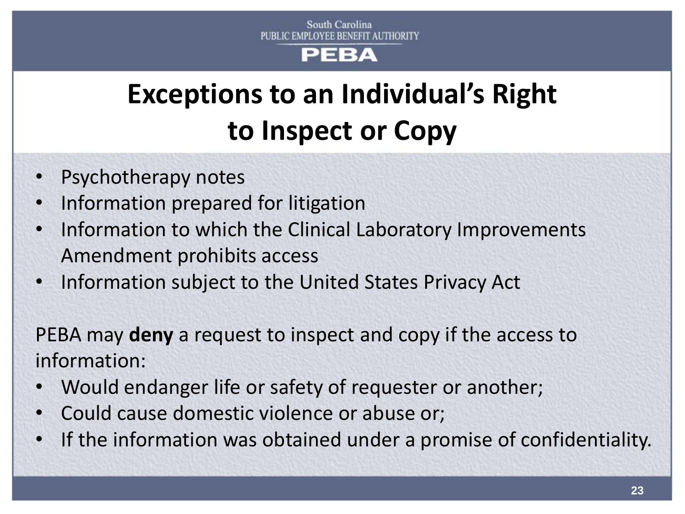### **Exceptions to an Individual's Right to Inspect or Copy**

- Psychotherapy notes
- Information prepared for litigation
- Information to which the Clinical Laboratory Improvements Amendment prohibits access
- Information subject to the United States Privacy Act

PEBA may **deny** a request to inspect and copy if the access to information:

- Would endanger life or safety of requester or another;
- Could cause domestic violence or abuse or;
- If the information was obtained under a promise of confidentiality.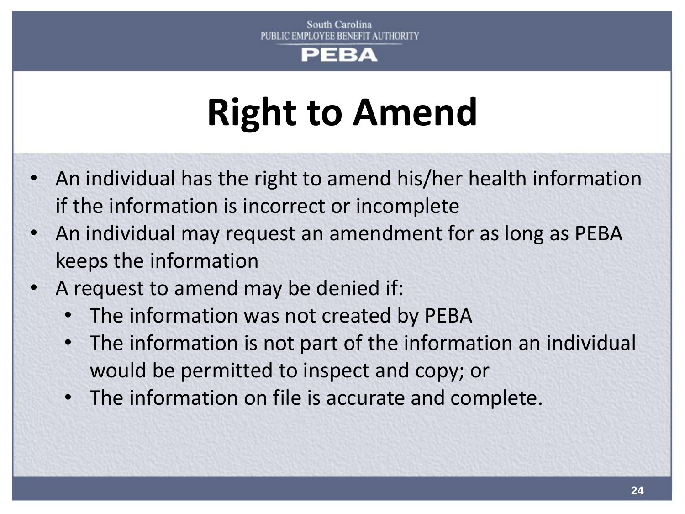#### ЕВА

# **Right to Amend**

- An individual has the right to amend his/her health information if the information is incorrect or incomplete
- An individual may request an amendment for as long as PEBA keeps the information
- A request to amend may be denied if:
	- The information was not created by PEBA
	- The information is not part of the information an individual would be permitted to inspect and copy; or
	- The information on file is accurate and complete.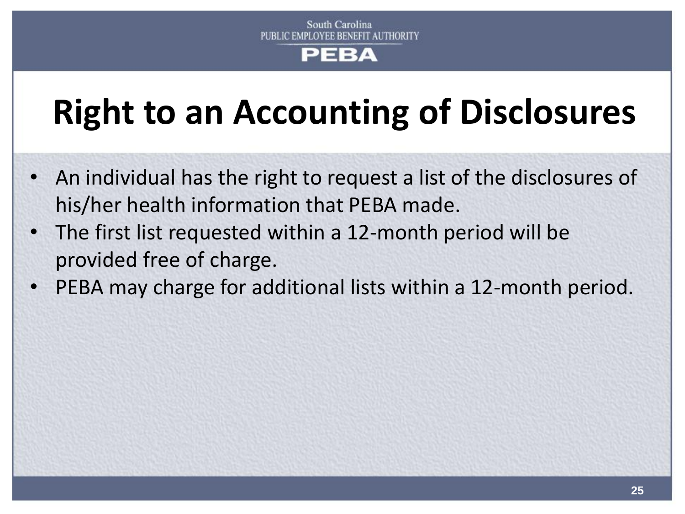### **Right to an Accounting of Disclosures**

- An individual has the right to request a list of the disclosures of his/her health information that PEBA made.
- The first list requested within a 12-month period will be provided free of charge.
- PEBA may charge for additional lists within a 12-month period.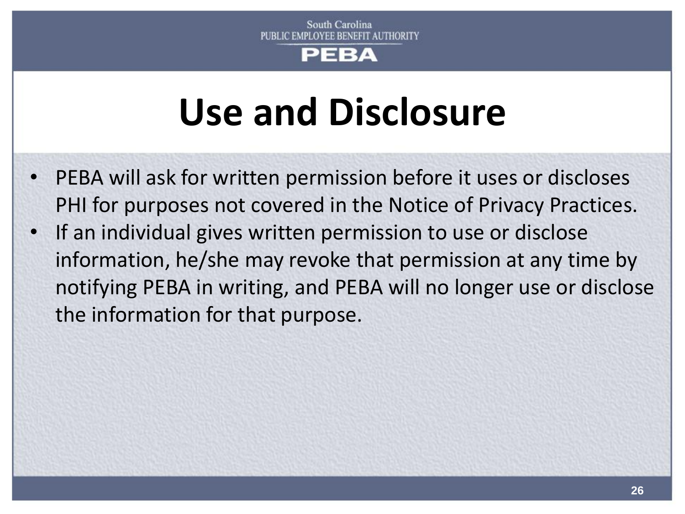#### ЕВА

## **Use and Disclosure**

- PEBA will ask for written permission before it uses or discloses PHI for purposes not covered in the Notice of Privacy Practices.
- If an individual gives written permission to use or disclose information, he/she may revoke that permission at any time by notifying PEBA in writing, and PEBA will no longer use or disclose the information for that purpose.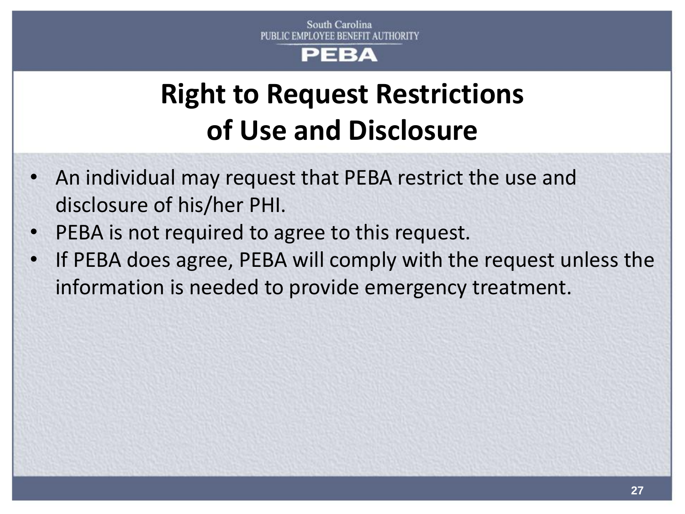### **Right to Request Restrictions of Use and Disclosure**

- An individual may request that PEBA restrict the use and disclosure of his/her PHI.
- PEBA is not required to agree to this request.
- If PEBA does agree, PEBA will comply with the request unless the information is needed to provide emergency treatment.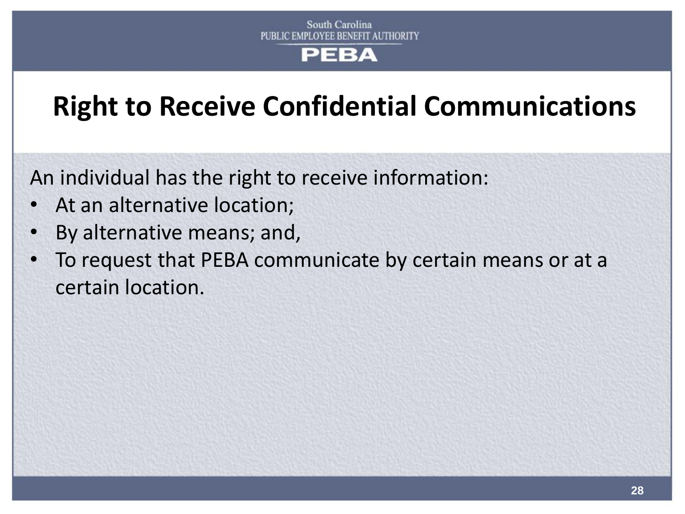### **Right to Receive Confidential Communications**

An individual has the right to receive information:

- At an alternative location;
- By alternative means; and,
- To request that PEBA communicate by certain means or at a certain location.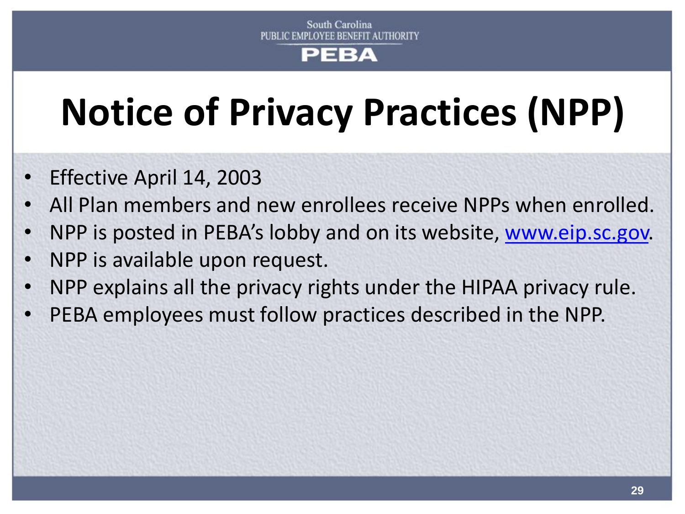### ЕВА

# **Notice of Privacy Practices (NPP)**

- Effective April 14, 2003
- All Plan members and new enrollees receive NPPs when enrolled.
- NPP is posted in PEBA's lobby and on its website, [www.eip.sc.gov](http://www.eip.sc.gov/).
- NPP is available upon request.
- NPP explains all the privacy rights under the HIPAA privacy rule.
- PEBA employees must follow practices described in the NPP.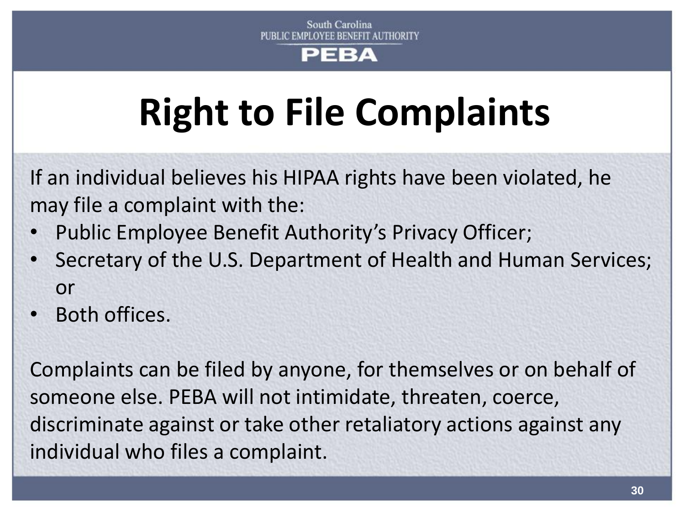# **Right to File Complaints**

If an individual believes his HIPAA rights have been violated, he may file a complaint with the:

- Public Employee Benefit Authority's Privacy Officer;
- Secretary of the U.S. Department of Health and Human Services; or
- Both offices.

Complaints can be filed by anyone, for themselves or on behalf of someone else. PEBA will not intimidate, threaten, coerce, discriminate against or take other retaliatory actions against any individual who files a complaint.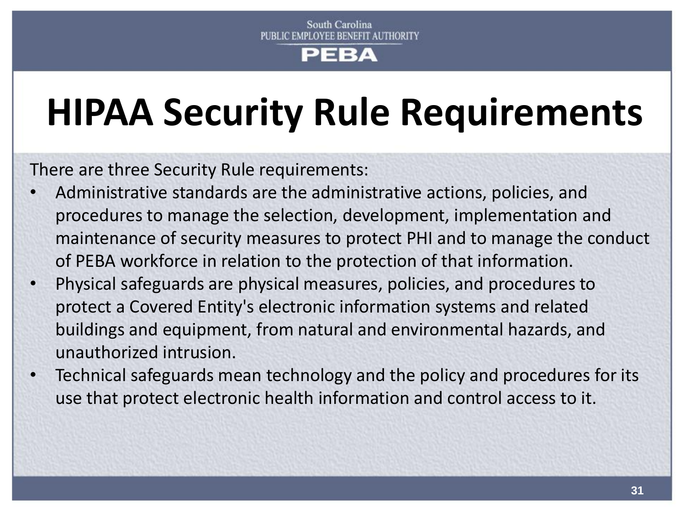## **HIPAA Security Rule Requirements**

There are three Security Rule requirements:

- Administrative standards are the administrative actions, policies, and procedures to manage the selection, development, implementation and maintenance of security measures to protect PHI and to manage the conduct of PEBA workforce in relation to the protection of that information.
- Physical safeguards are physical measures, policies, and procedures to protect a Covered Entity's electronic information systems and related buildings and equipment, from natural and environmental hazards, and unauthorized intrusion.
- Technical safeguards mean technology and the policy and procedures for its use that protect electronic health information and control access to it.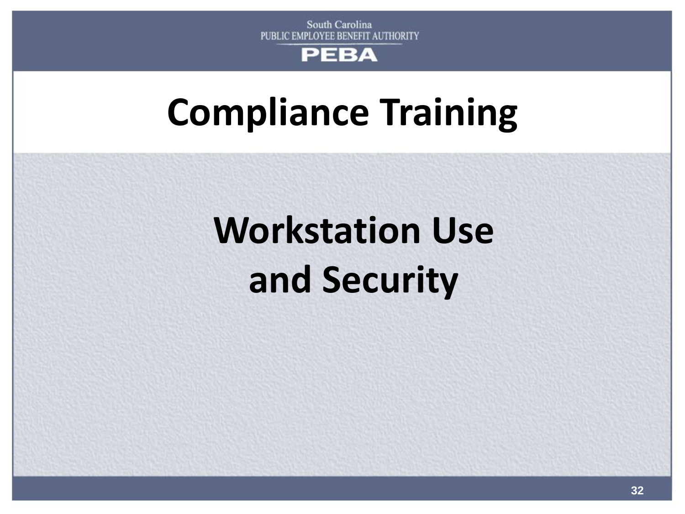

### **Compliance Training**

# **Workstation Use and Security**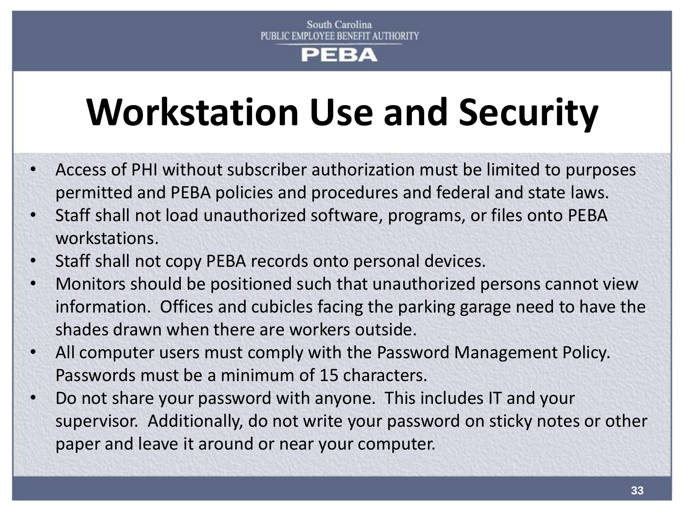# **Workstation Use and Security**

- Access of PHI without subscriber authorization must be limited to purposes permitted and PEBA policies and procedures and federal and state laws.
- Staff shall not load unauthorized software, programs, or files onto PEBA workstations.
- Staff shall not copy PEBA records onto personal devices.
- Monitors should be positioned such that unauthorized persons cannot view information. Offices and cubicles facing the parking garage need to have the shades drawn when there are workers outside.
- All computer users must comply with the Password Management Policy. Passwords must be a minimum of 15 characters.
- Do not share your password with anyone. This includes IT and your supervisor. Additionally, do not write your password on sticky notes or other paper and leave it around or near your computer.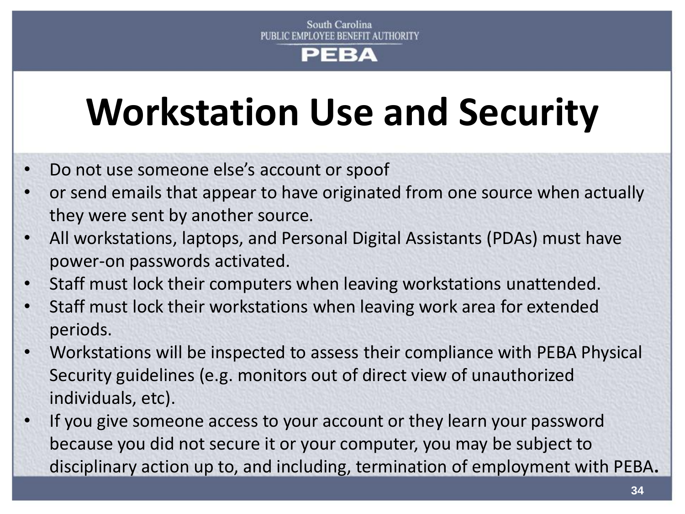# **Workstation Use and Security**

- Do not use someone else's account or spoof
- or send emails that appear to have originated from one source when actually they were sent by another source.
- All workstations, laptops, and Personal Digital Assistants (PDAs) must have power-on passwords activated.
- Staff must lock their computers when leaving workstations unattended.
- Staff must lock their workstations when leaving work area for extended periods.
- Workstations will be inspected to assess their compliance with PEBA Physical Security guidelines (e.g. monitors out of direct view of unauthorized individuals, etc).
- If you give someone access to your account or they learn your password because you did not secure it or your computer, you may be subject to disciplinary action up to, and including, termination of employment with PEBA**.**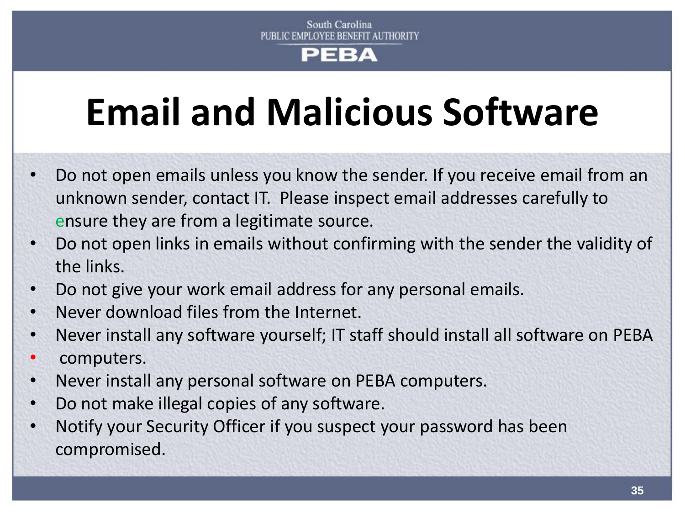# **Email and Malicious Software**

- Do not open emails unless you know the sender. If you receive email from an unknown sender, contact IT. Please inspect email addresses carefully to ensure they are from a legitimate source.
- Do not open links in emails without confirming with the sender the validity of the links.
- Do not give your work email address for any personal emails.
- Never download files from the Internet.
- Never install any software yourself; IT staff should install all software on PEBA
- computers.
- Never install any personal software on PEBA computers.
- Do not make illegal copies of any software.
- Notify your Security Officer if you suspect your password has been compromised.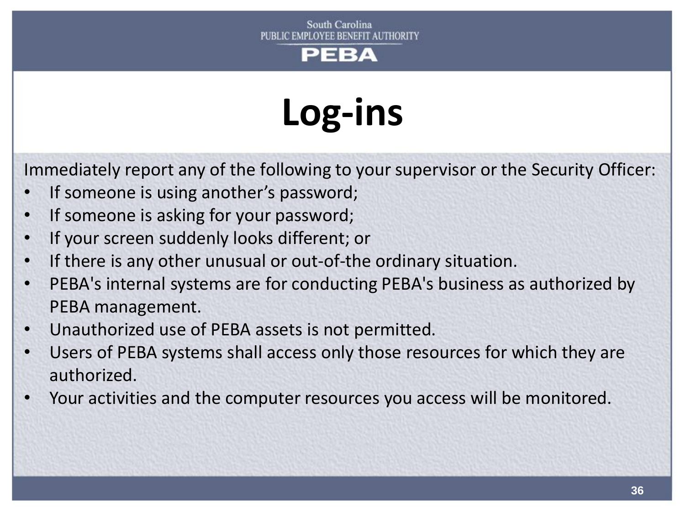#### South Carolina PUBLIC EMPLOYEE BENEFIT AUTHORITY



# **Log-ins**

Immediately report any of the following to your supervisor or the Security Officer:

- If someone is using another's password;
- If someone is asking for your password;
- If your screen suddenly looks different; or
- If there is any other unusual or out-of-the ordinary situation.
- PEBA's internal systems are for conducting PEBA's business as authorized by PEBA management.
- Unauthorized use of PEBA assets is not permitted.
- Users of PEBA systems shall access only those resources for which they are authorized.
- Your activities and the computer resources you access will be monitored.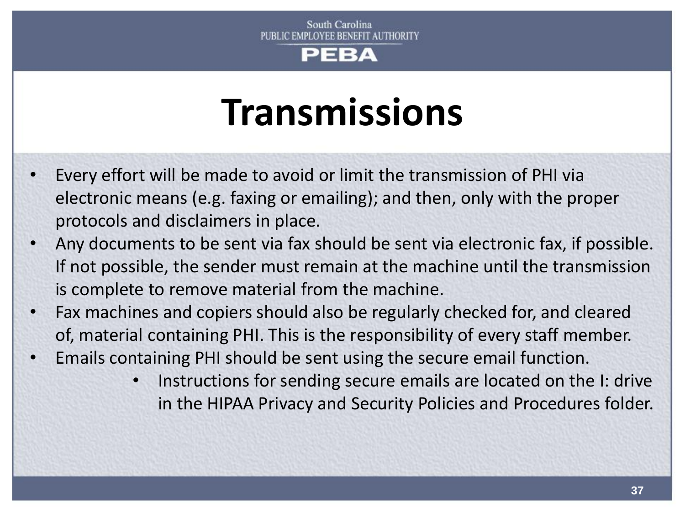## **Transmissions**

- Every effort will be made to avoid or limit the transmission of PHI via electronic means (e.g. faxing or emailing); and then, only with the proper protocols and disclaimers in place.
- Any documents to be sent via fax should be sent via electronic fax, if possible. If not possible, the sender must remain at the machine until the transmission is complete to remove material from the machine.
- Fax machines and copiers should also be regularly checked for, and cleared of, material containing PHI. This is the responsibility of every staff member.
- Emails containing PHI should be sent using the secure email function.
	- Instructions for sending secure emails are located on the I: drive in the HIPAA Privacy and Security Policies and Procedures folder.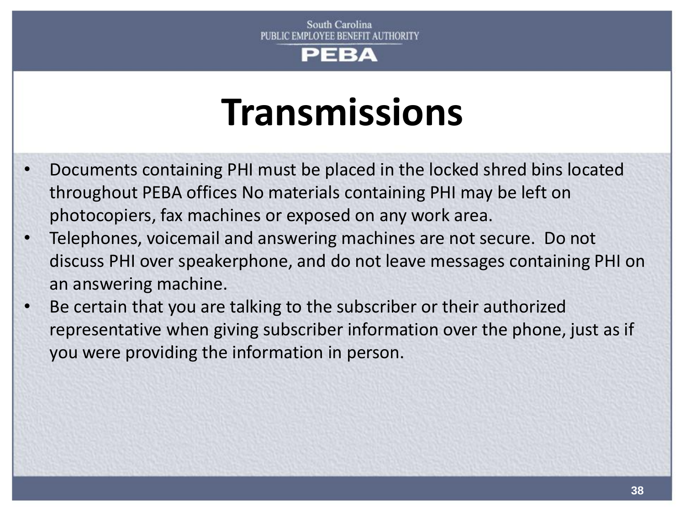## **Transmissions**

- Documents containing PHI must be placed in the locked shred bins located throughout PEBA offices No materials containing PHI may be left on photocopiers, fax machines or exposed on any work area.
- Telephones, voicemail and answering machines are not secure. Do not discuss PHI over speakerphone, and do not leave messages containing PHI on an answering machine.
- Be certain that you are talking to the subscriber or their authorized representative when giving subscriber information over the phone, just as if you were providing the information in person.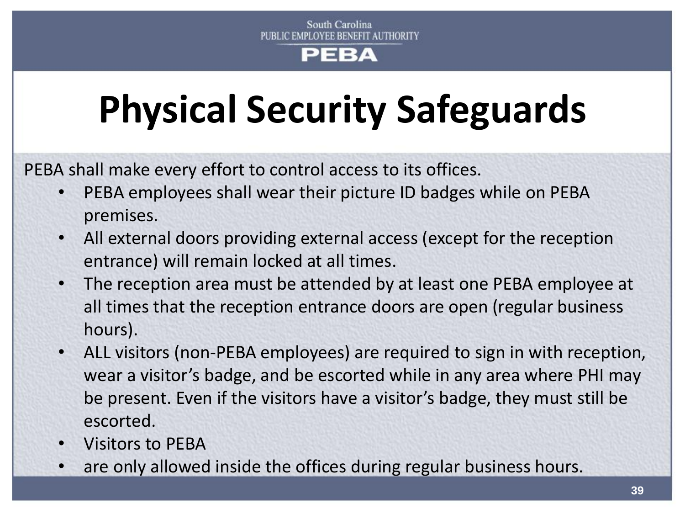# **Physical Security Safeguards**

PEBA shall make every effort to control access to its offices.

- PEBA employees shall wear their picture ID badges while on PEBA premises.
- All external doors providing external access (except for the reception entrance) will remain locked at all times.
- The reception area must be attended by at least one PEBA employee at all times that the reception entrance doors are open (regular business hours).
- ALL visitors (non-PEBA employees) are required to sign in with reception, wear a visitor's badge, and be escorted while in any area where PHI may be present. Even if the visitors have a visitor's badge, they must still be escorted.
- Visitors to PEBA
- are only allowed inside the offices during regular business hours.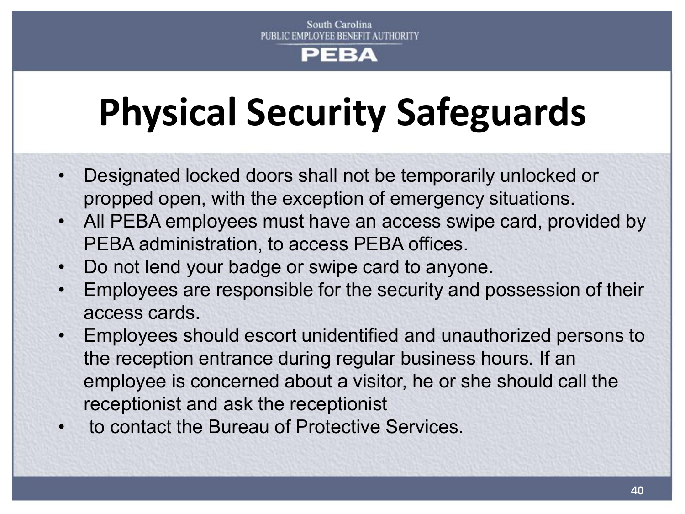# **Physical Security Safeguards**

- Designated locked doors shall not be temporarily unlocked or propped open, with the exception of emergency situations.
- All PEBA employees must have an access swipe card, provided by PEBA administration, to access PEBA offices.
- Do not lend your badge or swipe card to anyone.
- Employees are responsible for the security and possession of their access cards.
- Employees should escort unidentified and unauthorized persons to the reception entrance during regular business hours. If an employee is concerned about a visitor, he or she should call the receptionist and ask the receptionist
- to contact the Bureau of Protective Services.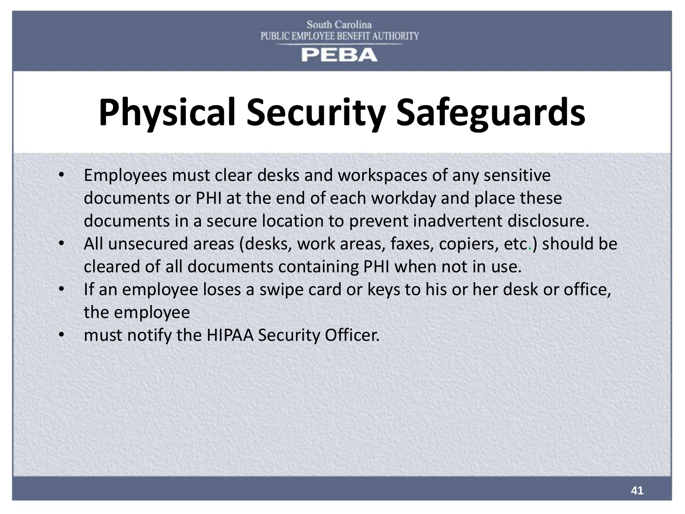# **Physical Security Safeguards**

- Employees must clear desks and workspaces of any sensitive documents or PHI at the end of each workday and place these documents in a secure location to prevent inadvertent disclosure.
- All unsecured areas (desks, work areas, faxes, copiers, etc.) should be cleared of all documents containing PHI when not in use.
- If an employee loses a swipe card or keys to his or her desk or office, the employee
- must notify the HIPAA Security Officer.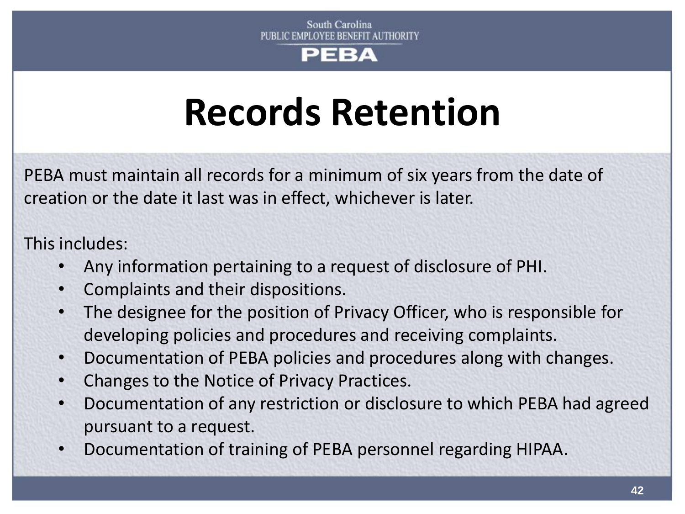## **Records Retention**

PEBA must maintain all records for a minimum of six years from the date of creation or the date it last was in effect, whichever is later.

This includes:

- Any information pertaining to a request of disclosure of PHI.
- Complaints and their dispositions.
- The designee for the position of Privacy Officer, who is responsible for developing policies and procedures and receiving complaints.
- Documentation of PEBA policies and procedures along with changes.
- Changes to the Notice of Privacy Practices.
- Documentation of any restriction or disclosure to which PEBA had agreed pursuant to a request.
- Documentation of training of PEBA personnel regarding HIPAA.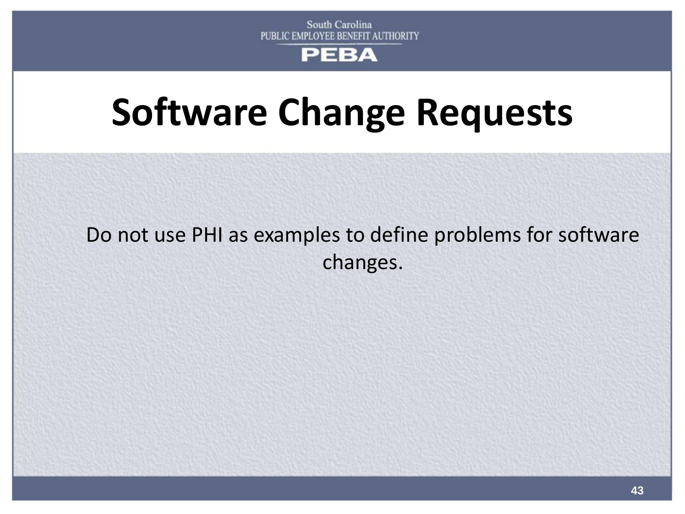## **Software Change Requests**

## Do not use PHI as examples to define problems for software changes.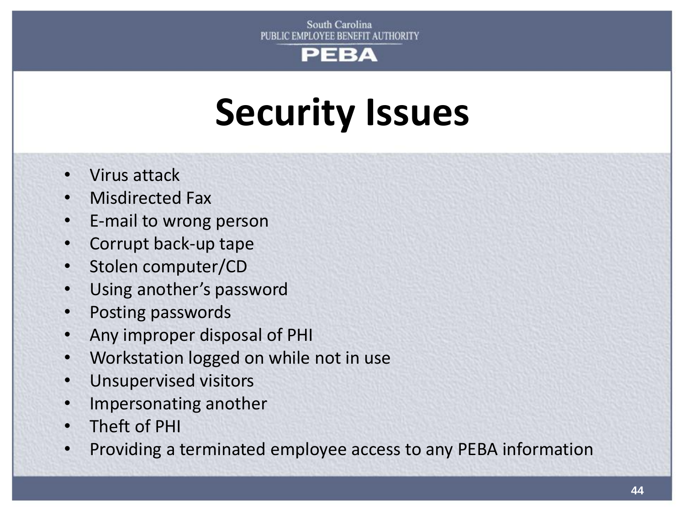## **Security Issues**

- Virus attack
- Misdirected Fax
- E-mail to wrong person
- Corrupt back-up tape
- Stolen computer/CD
- Using another's password
- Posting passwords
- Any improper disposal of PHI
- Workstation logged on while not in use
- Unsupervised visitors
- Impersonating another
- Theft of PHI
- Providing a terminated employee access to any PEBA information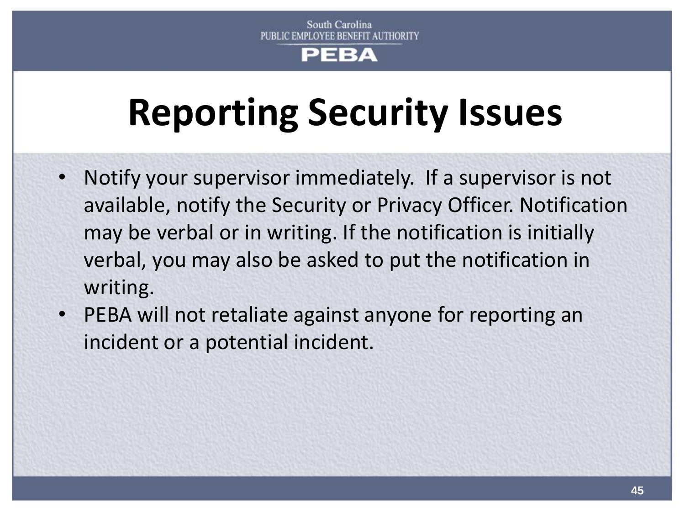## **Reporting Security Issues**

- Notify your supervisor immediately. If a supervisor is not available, notify the Security or Privacy Officer. Notification may be verbal or in writing. If the notification is initially verbal, you may also be asked to put the notification in writing.
- PEBA will not retaliate against anyone for reporting an incident or a potential incident.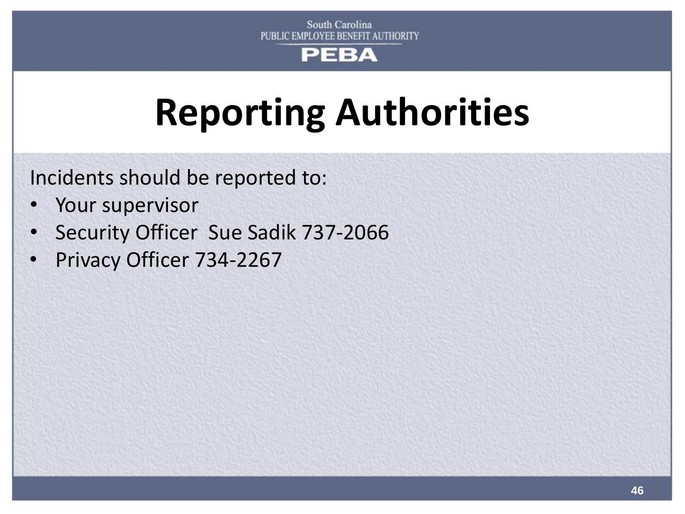## **Reporting Authorities**

Incidents should be reported to:

- Your supervisor
- Security Officer Sue Sadik 737-2066
- Privacy Officer 734-2267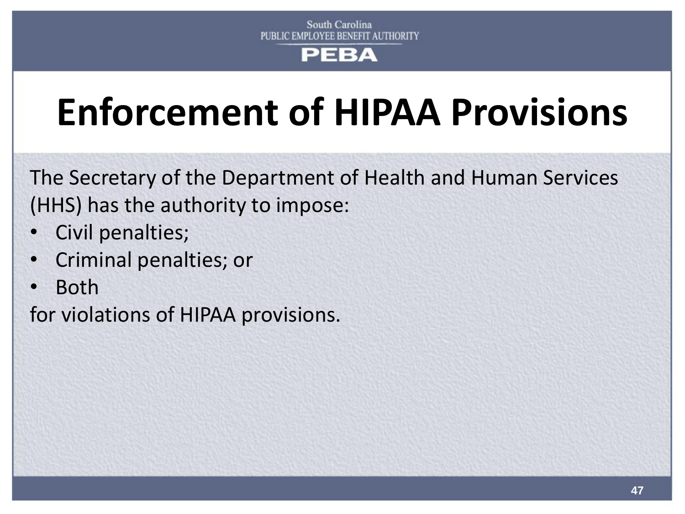## **Enforcement of HIPAA Provisions**

The Secretary of the Department of Health and Human Services (HHS) has the authority to impose:

- Civil penalties;
- Criminal penalties; or
- Both

for violations of HIPAA provisions.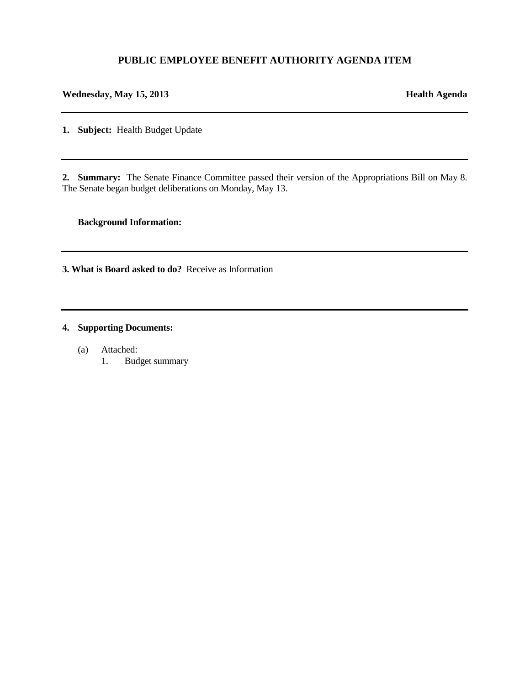### **PUBLIC EMPLOYEE BENEFIT AUTHORITY AGENDA ITEM**

#### **Wednesday, May 15, 2013 Health Agenda**

**1. Subject:** Health Budget Update

**2. Summary:** The Senate Finance Committee passed their version of the Appropriations Bill on May 8. The Senate began budget deliberations on Monday, May 13.

#### **Background Information:**

**3. What is Board asked to do?** Receive as Information

#### **4. Supporting Documents:**

- (a) Attached:
	- 1. Budget summary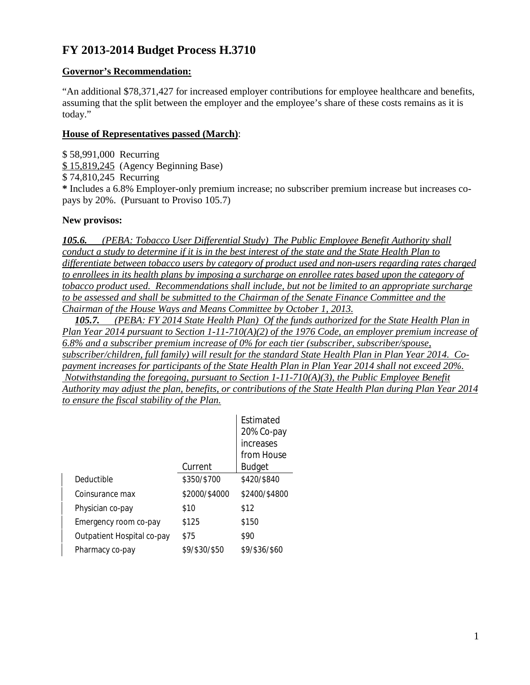### **FY 2013-2014 Budget Process H.3710**

### **Governor's Recommendation:**

"An additional \$78,371,427 for increased employer contributions for employee healthcare and benefits, assuming that the split between the employer and the employee's share of these costs remains as it is today."

#### **House of Representatives passed (March)**:

\$ 58,991,000 Recurring \$ 15,819,245 (Agency Beginning Base) \$ 74,810,245 Recurring **\*** Includes a 6.8% Employer-only premium increase; no subscriber premium increase but increases copays by 20%. (Pursuant to Proviso 105.7)

#### **New provisos:**

*105.6. (PEBA: Tobacco User Differential Study) The Public Employee Benefit Authority shall conduct a study to determine if it is in the best interest of the state and the State Health Plan to differentiate between tobacco users by category of product used and non-users regarding rates charged to enrollees in its health plans by imposing a surcharge on enrollee rates based upon the category of tobacco product used. Recommendations shall include, but not be limited to an appropriate surcharge to be assessed and shall be submitted to the Chairman of the Senate Finance Committee and the Chairman of the House Ways and Means Committee by October 1, 2013.*

 *105.7. (PEBA: FY 2014 State Health Plan) Of the funds authorized for the State Health Plan in Plan Year 2014 pursuant to Section 1-11-710(A)(2) of the 1976 Code, an employer premium increase of 6.8% and a subscriber premium increase of 0% for each tier (subscriber, subscriber/spouse, subscriber/children, full family) will result for the standard State Health Plan in Plan Year 2014. Copayment increases for participants of the State Health Plan in Plan Year 2014 shall not exceed 20%. Notwithstanding the foregoing, pursuant to Section 1-11-710(A)(3), the Public Employee Benefit Authority may adjust the plan, benefits, or contributions of the State Health Plan during Plan Year 2014 to ensure the fiscal stability of the Plan.*

|                            |               | <b>Fstimated</b><br>20% Co-pay<br>increases<br>from House |
|----------------------------|---------------|-----------------------------------------------------------|
|                            | Current       | <b>Budget</b>                                             |
| Deductible                 | \$350/\$700   | \$420/\$840                                               |
| Coinsurance max            | \$2000/\$4000 | \$2400/\$4800                                             |
| Physician co-pay           | \$10          | \$12                                                      |
| Emergency room co-pay      | \$125         | \$150                                                     |
| Outpatient Hospital co-pay | \$75          | \$90                                                      |
| Pharmacy co-pay            | \$9/\$30/\$50 | \$9/\$36/\$60                                             |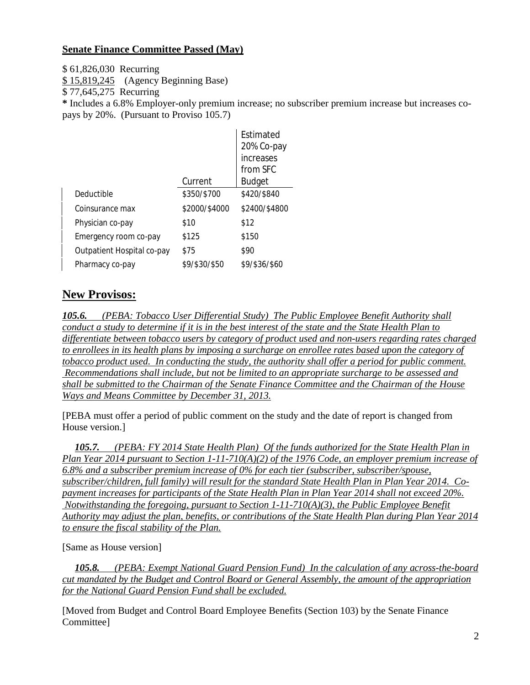### **Senate Finance Committee Passed (May)**

\$ 61,826,030 Recurring

\$ 15,819,245 (Agency Beginning Base)

\$ 77,645,275 Recurring

**\*** Includes a 6.8% Employer-only premium increase; no subscriber premium increase but increases copays by 20%. (Pursuant to Proviso 105.7)

|                            |               | Estimated<br>20% Co-pay<br>increases |
|----------------------------|---------------|--------------------------------------|
|                            |               | from SFC                             |
|                            | Current       | Budget                               |
| Deductible                 | \$350/\$700   | \$420/\$840                          |
| Coinsurance max            | \$2000/\$4000 | \$2400/\$4800                        |
| Physician co-pay           | \$10          | \$12                                 |
| Emergency room co-pay      | \$125         | \$150                                |
| Outpatient Hospital co-pay | \$75          | \$90                                 |
| Pharmacy co-pay            | \$9/\$30/\$50 | \$9/\$36/\$60                        |

### **New Provisos:**

*105.6. (PEBA: Tobacco User Differential Study) The Public Employee Benefit Authority shall conduct a study to determine if it is in the best interest of the state and the State Health Plan to differentiate between tobacco users by category of product used and non-users regarding rates charged to enrollees in its health plans by imposing a surcharge on enrollee rates based upon the category of tobacco product used. In conducting the study, the authority shall offer a period for public comment. Recommendations shall include, but not be limited to an appropriate surcharge to be assessed and shall be submitted to the Chairman of the Senate Finance Committee and the Chairman of the House Ways and Means Committee by December 31, 2013.*

[PEBA must offer a period of public comment on the study and the date of report is changed from House version.]

 *105.7. (PEBA: FY 2014 State Health Plan) Of the funds authorized for the State Health Plan in Plan Year 2014 pursuant to Section 1-11-710(A)(2) of the 1976 Code, an employer premium increase of 6.8% and a subscriber premium increase of 0% for each tier (subscriber, subscriber/spouse, subscriber/children, full family) will result for the standard State Health Plan in Plan Year 2014. Copayment increases for participants of the State Health Plan in Plan Year 2014 shall not exceed 20%. Notwithstanding the foregoing, pursuant to Section 1-11-710(A)(3), the Public Employee Benefit Authority may adjust the plan, benefits, or contributions of the State Health Plan during Plan Year 2014 to ensure the fiscal stability of the Plan.*

[Same as House version]

*105.8. (PEBA: Exempt National Guard Pension Fund) In the calculation of any across-the-board cut mandated by the Budget and Control Board or General Assembly, the amount of the appropriation for the National Guard Pension Fund shall be excluded.*

[Moved from Budget and Control Board Employee Benefits (Section 103) by the Senate Finance Committee]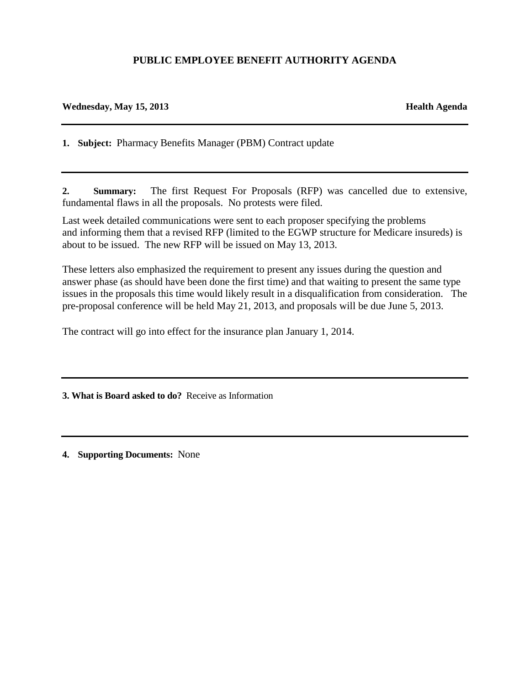### **PUBLIC EMPLOYEE BENEFIT AUTHORITY AGENDA**

#### **Wednesday, May 15, 2013 Health Agenda**

**1. Subject:** Pharmacy Benefits Manager (PBM) Contract update

**2. Summary:** The first Request For Proposals (RFP) was cancelled due to extensive, fundamental flaws in all the proposals. No protests were filed.

Last week detailed communications were sent to each proposer specifying the problems and informing them that a revised RFP (limited to the EGWP structure for Medicare insureds) is about to be issued. The new RFP will be issued on May 13, 2013.

These letters also emphasized the requirement to present any issues during the question and answer phase (as should have been done the first time) and that waiting to present the same type issues in the proposals this time would likely result in a disqualification from consideration. The pre-proposal conference will be held May 21, 2013, and proposals will be due June 5, 2013.

The contract will go into effect for the insurance plan January 1, 2014.

**3. What is Board asked to do?** Receive as Information

**4. Supporting Documents:** None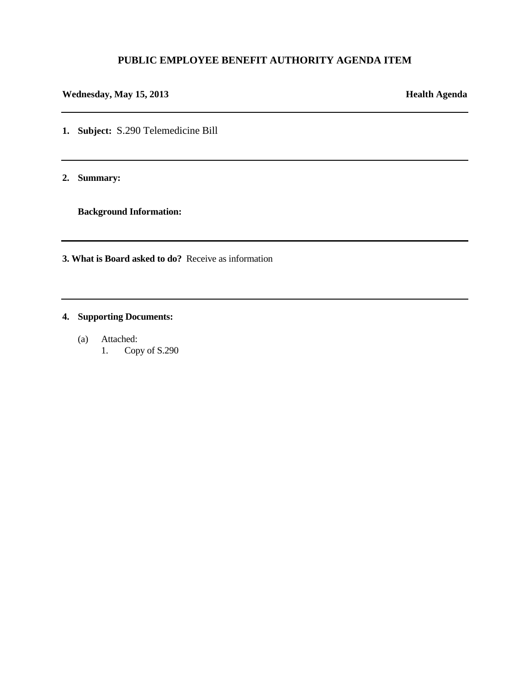#### **PUBLIC EMPLOYEE BENEFIT AUTHORITY AGENDA ITEM**

### **Wednesday, May 15, 2013 Health Agenda**

**1. Subject:** S.290 Telemedicine Bill

**2. Summary:** 

**Background Information:**

**3. What is Board asked to do?** Receive as information

### **4. Supporting Documents:**

(a) Attached: 1. Copy of S.290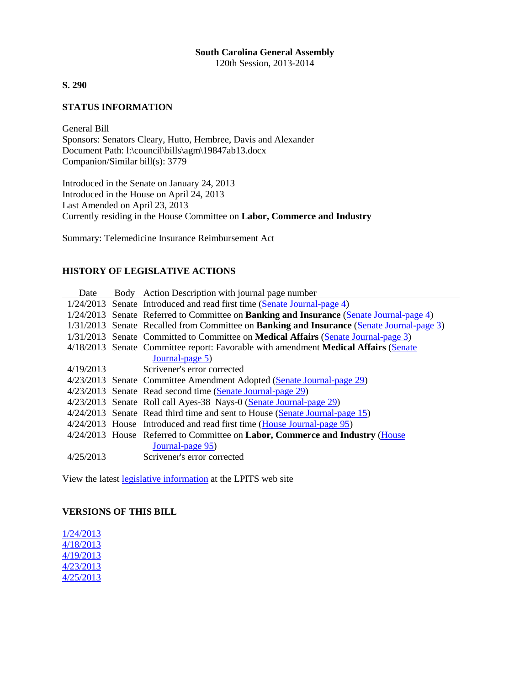### **South Carolina General Assembly**

120th Session, 2013-2014

**S. 290**

#### **STATUS INFORMATION**

General Bill Sponsors: Senators Cleary, Hutto, Hembree, Davis and Alexander Document Path: l:\council\bills\agm\19847ab13.docx Companion/Similar bill(s): 3779

Introduced in the Senate on January 24, 2013 Introduced in the House on April 24, 2013 Last Amended on April 23, 2013 Currently residing in the House Committee on **Labor, Commerce and Industry**

Summary: Telemedicine Insurance Reimbursement Act

#### **HISTORY OF LEGISLATIVE ACTIONS**

| Date      | Body Action Description with journal page number                                                 |
|-----------|--------------------------------------------------------------------------------------------------|
|           | 1/24/2013 Senate Introduced and read first time (Senate Journal-page 4)                          |
|           | 1/24/2013 Senate Referred to Committee on Banking and Insurance (Senate Journal-page 4)          |
|           | 1/31/2013 Senate Recalled from Committee on <b>Banking and Insurance</b> (Senate Journal-page 3) |
|           | 1/31/2013 Senate Committed to Committee on Medical Affairs (Senate Journal-page 3)               |
|           | 4/18/2013 Senate Committee report: Favorable with amendment Medical Affairs (Senate              |
|           | Journal-page 5)                                                                                  |
| 4/19/2013 | Scrivener's error corrected                                                                      |
|           | 4/23/2013 Senate Committee Amendment Adopted (Senate Journal-page 29)                            |
|           | 4/23/2013 Senate Read second time (Senate Journal-page 29)                                       |
|           | 4/23/2013 Senate Roll call Ayes-38 Nays-0 (Senate Journal-page 29)                               |
|           | 4/24/2013 Senate Read third time and sent to House (Senate Journal-page 15)                      |
|           | 4/24/2013 House Introduced and read first time (House Journal-page 95)                           |
|           | $4/24/2013$ House Referred to Committee on Labor, Commerce and Industry (House                   |
|           | Journal-page 95)                                                                                 |
| 4/25/2013 | Scrivener's error corrected                                                                      |
|           |                                                                                                  |

View the latest legislative information at the LPITS web site

#### **VERSIONS OF THIS BILL**

1/24/2013 4/18/2013 4/19/2013 4/23/2013 4/25/2013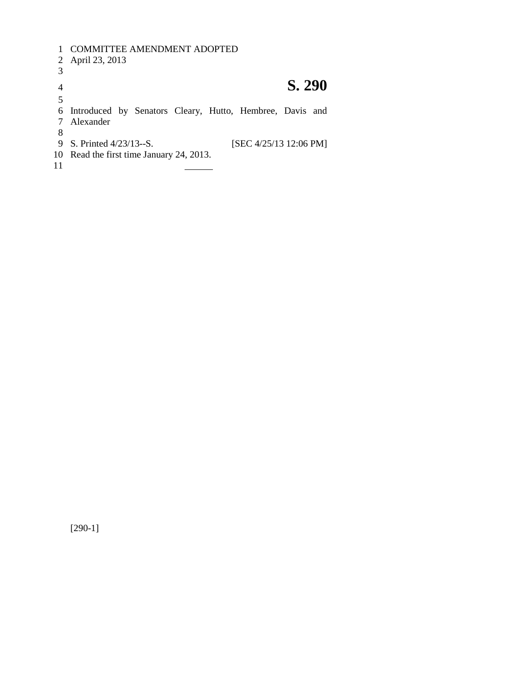COMMITTEE AMENDMENT ADOPTED April 23, 2013 **S. 290** Introduced by Senators Cleary, Hutto, Hembree, Davis and Alexander 8<br>9 S. Printed 4/23/13--S. [SEC 4/25/13 12:06 PM] Read the first time January 24, 2013.

[290-1]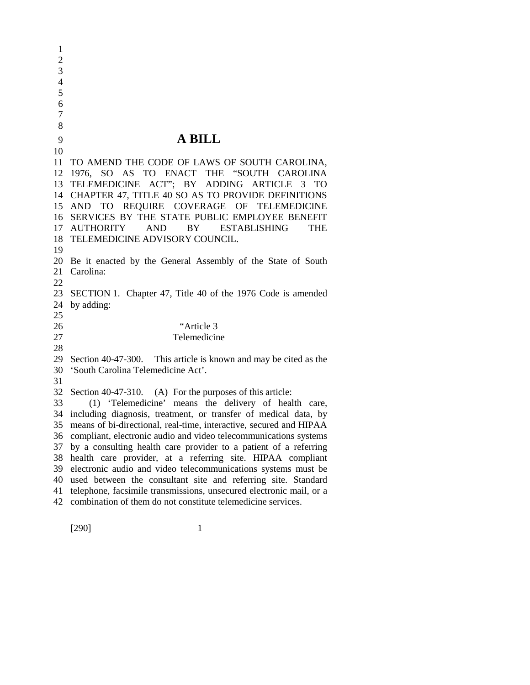$\mathfrak{D}$  **A BILL** TO AMEND THE CODE OF LAWS OF SOUTH CAROLINA, 1976, SO AS TO ENACT THE "SOUTH CAROLINA TELEMEDICINE ACT"; BY ADDING ARTICLE 3 TO CHAPTER 47, TITLE 40 SO AS TO PROVIDE DEFINITIONS AND TO REQUIRE COVERAGE OF TELEMEDICINE SERVICES BY THE STATE PUBLIC EMPLOYEE BENEFIT AUTHORITY AND BY ESTABLISHING THE TELEMEDICINE ADVISORY COUNCIL. Be it enacted by the General Assembly of the State of South Carolina: SECTION 1. Chapter 47, Title 40 of the 1976 Code is amended by adding: "Article 3 Telemedicine Section 40-47-300. This article is known and may be cited as the 'South Carolina Telemedicine Act'. Section 40-47-310. (A) For the purposes of this article: (1) 'Telemedicine' means the delivery of health care, including diagnosis, treatment, or transfer of medical data, by means of bi-directional, real-time, interactive, secured and HIPAA compliant, electronic audio and video telecommunications systems by a consulting health care provider to a patient of a referring health care provider*,* at a referring site. HIPAA compliant electronic audio and video telecommunications systems must be used between the consultant site and referring site. Standard telephone, facsimile transmissions, unsecured electronic mail, or a combination of them do not constitute telemedicine services.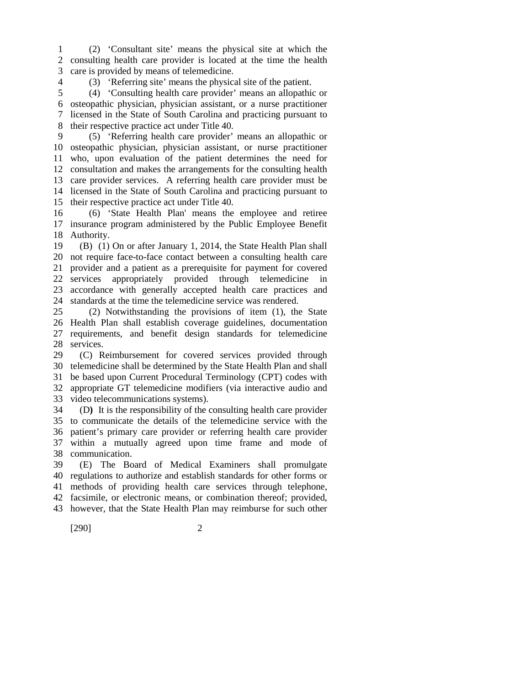(2) 'Consultant site' means the physical site at which the consulting health care provider is located at the time the health care is provided by means of telemedicine.

(3) 'Referring site' means the physical site of the patient.

 (4) 'Consulting health care provider' means an allopathic or osteopathic physician, physician assistant, or a nurse practitioner licensed in the State of South Carolina and practicing pursuant to their respective practice act under Title 40.

 (5) 'Referring health care provider' means an allopathic or osteopathic physician, physician assistant, or nurse practitioner who, upon evaluation of the patient determines the need for consultation and makes the arrangements for the consulting health care provider services. A referring health care provider must be licensed in the State of South Carolina and practicing pursuant to their respective practice act under Title 40.

 (6) 'State Health Plan' means the employee and retiree insurance program administered by the Public Employee Benefit Authority.

 (B) (1) On or after January 1, 2014, the State Health Plan shall not require face-to-face contact between a consulting health care provider and a patient as a prerequisite for payment for covered services appropriately provided through telemedicine in accordance with generally accepted health care practices and standards at the time the telemedicine service was rendered.

 (2) Notwithstanding the provisions of item (1), the State Health Plan shall establish coverage guidelines, documentation requirements, and benefit design standards for telemedicine services.

 (C) Reimbursement for covered services provided through telemedicine shall be determined by the State Health Plan and shall be based upon Current Procedural Terminology (CPT) codes with appropriate GT telemedicine modifiers (via interactive audio and video telecommunications systems).

 (D**)** It is the responsibility of the consulting health care provider to communicate the details of the telemedicine service with the patient's primary care provider or referring health care provider within a mutually agreed upon time frame and mode of communication.

 (E) The Board of Medical Examiners shall promulgate regulations to authorize and establish standards for other forms or methods of providing health care services through telephone, facsimile, or electronic means, or combination thereof; provided, however, that the State Health Plan may reimburse for such other

[290] 2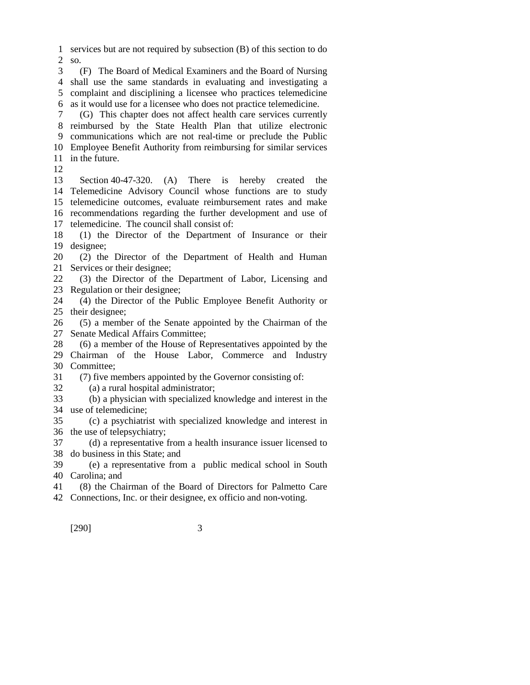services but are not required by subsection (B) of this section to do so.

 (F) The Board of Medical Examiners and the Board of Nursing shall use the same standards in evaluating and investigating a complaint and disciplining a licensee who practices telemedicine as it would use for a licensee who does not practice telemedicine.

 (G) This chapter does not affect health care services currently reimbursed by the State Health Plan that utilize electronic communications which are not real-time or preclude the Public Employee Benefit Authority from reimbursing for similar services in the future.

 Section 40-47-320. (A) There is hereby created the Telemedicine Advisory Council whose functions are to study telemedicine outcomes, evaluate reimbursement rates and make recommendations regarding the further development and use of telemedicine. The council shall consist of:

 (1) the Director of the Department of Insurance or their designee;

 (2) the Director of the Department of Health and Human Services or their designee;

 (3) the Director of the Department of Labor, Licensing and Regulation or their designee;

 (4) the Director of the Public Employee Benefit Authority or their designee;

 (5) a member of the Senate appointed by the Chairman of the Senate Medical Affairs Committee;

 (6) a member of the House of Representatives appointed by the Chairman of the House Labor, Commerce and Industry Committee;

(7) five members appointed by the Governor consisting of:

(a) a rural hospital administrator;

 (b) a physician with specialized knowledge and interest in the use of telemedicine;

 (c) a psychiatrist with specialized knowledge and interest in the use of telepsychiatry;

 (d) a representative from a health insurance issuer licensed to do business in this State; and

 (e) a representative from a public medical school in South Carolina; and

(8) the Chairman of the Board of Directors for Palmetto Care

Connections, Inc. or their designee, ex officio and non-voting.

[290] 3